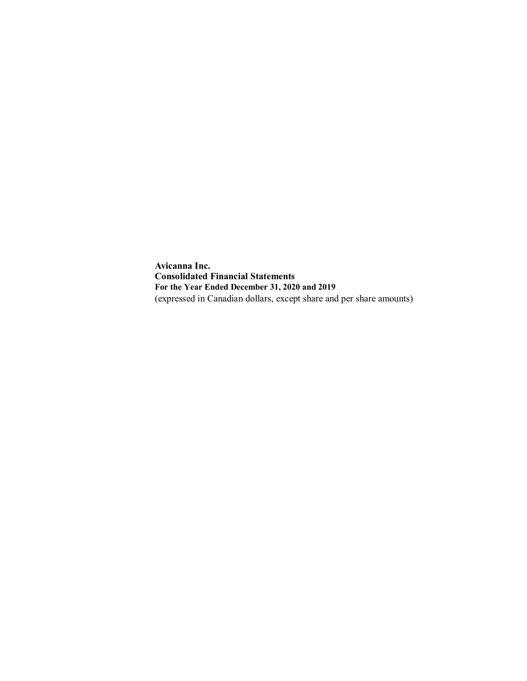**Avicanna Inc. Consolidated Financial Statements For the Year Ended December 31, 2020 and 2019** (expressed in Canadian dollars, except share and per share amounts)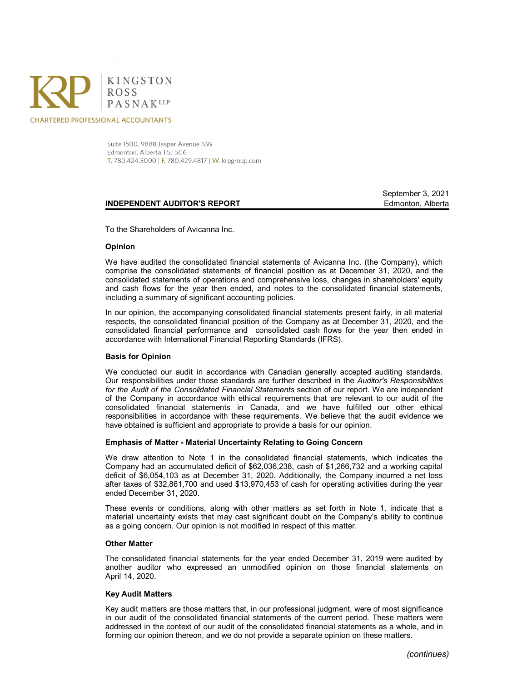

**CHARTERED PROFESSIONAL ACCOUNTANTS** 

Suite 1500, 9888 Jasper Avenue NW Edmonton, Alberta T5J 5C6 T. 780.424.3000 | F. 780.429.4817 | W. krpgroup.com

| <b>INDEPENDENT AUDITOR'S REPORT</b> | Edmonton, Alberta |
|-------------------------------------|-------------------|
|                                     | September 3, 2021 |

To the Shareholders of Avicanna Inc.

#### **Opinion**

We have audited the consolidated financial statements of Avicanna Inc. (the Company), which comprise the consolidated statements of financial position as at December 31, 2020, and the consolidated statements of operations and comprehensive loss, changes in shareholders' equity and cash flows for the year then ended, and notes to the consolidated financial statements, including a summary of significant accounting policies.

In our opinion, the accompanying consolidated financial statements present fairly, in all material respects, the consolidated financial position of the Company as at December 31, 2020, and the consolidated financial performance and consolidated cash flows for the year then ended in accordance with International Financial Reporting Standards (IFRS).

#### **Basis for Opinion**

We conducted our audit in accordance with Canadian generally accepted auditing standards. Our responsibilities under those standards are further described in the *Auditor's Responsibilities for the Audit of the Consolidated Financial Statements* section of our report. We are independent of the Company in accordance with ethical requirements that are relevant to our audit of the consolidated financial statements in Canada, and we have fulfilled our other ethical responsibilities in accordance with these requirements. We believe that the audit evidence we have obtained is sufficient and appropriate to provide a basis for our opinion.

#### **Emphasis of Matter - Material Uncertainty Relating to Going Concern**

We draw attention to Note 1 in the consolidated financial statements, which indicates the Company had an accumulated deficit of \$62,036,238, cash of \$1,266,732 and a working capital deficit of \$6,054,103 as at December 31, 2020. Additionally, the Company incurred a net loss after taxes of \$32,861,700 and used \$13,970,453 of cash for operating activities during the year ended December 31, 2020.

These events or conditions, along with other matters as set forth in Note 1, indicate that a material uncertainty exists that may cast significant doubt on the Company's ability to continue as a going concern. Our opinion is not modified in respect of this matter.

#### **Other Matter**

The consolidated financial statements for the year ended December 31, 2019 were audited by another auditor who expressed an unmodified opinion on those financial statements on April 14, 2020.

#### **Key Audit Matters**

Key audit matters are those matters that, in our professional judgment, were of most significance in our audit of the consolidated financial statements of the current period. These matters were addressed in the context of our audit of the consolidated financial statements as a whole, and in forming our opinion thereon, and we do not provide a separate opinion on these matters.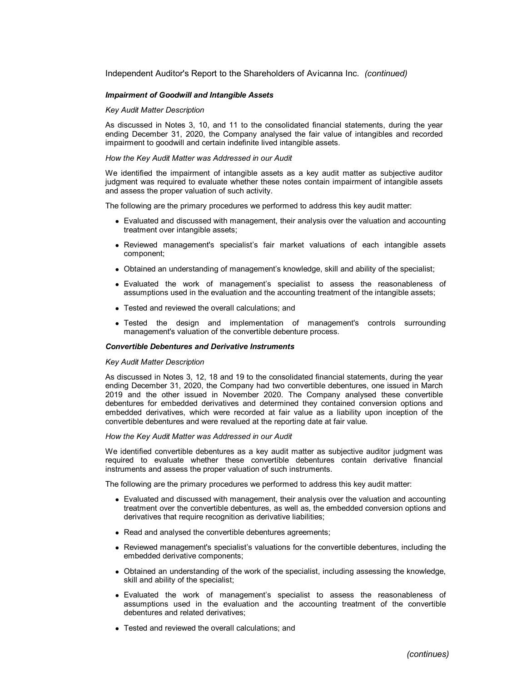Independent Auditor's Report to the Shareholders of Avicanna Inc. *(continued)*

#### *Impairment of Goodwill and Intangible Assets*

#### *Key Audit Matter Description*

As discussed in Notes 3, 10, and 11 to the consolidated financial statements, during the year ending December 31, 2020, the Company analysed the fair value of intangibles and recorded impairment to goodwill and certain indefinite lived intangible assets.

#### *How the Key Audit Matter was Addressed in our Audit*

We identified the impairment of intangible assets as a key audit matter as subjective auditor judgment was required to evaluate whether these notes contain impairment of intangible assets and assess the proper valuation of such activity.

The following are the primary procedures we performed to address this key audit matter:

- Evaluated and discussed with management, their analysis over the valuation and accounting treatment over intangible assets;
- Reviewed management's specialist's fair market valuations of each intangible assets component;
- Obtained an understanding of management's knowledge, skill and ability of the specialist;
- Evaluated the work of management's specialist to assess the reasonableness of assumptions used in the evaluation and the accounting treatment of the intangible assets;
- Tested and reviewed the overall calculations; and
- Tested the design and implementation of management's controls surrounding management's valuation of the convertible debenture process.

#### *Convertible Debentures and Derivative Instruments*

#### *Key Audit Matter Description*

As discussed in Notes 3, 12, 18 and 19 to the consolidated financial statements, during the year ending December 31, 2020, the Company had two convertible debentures, one issued in March 2019 and the other issued in November 2020. The Company analysed these convertible debentures for embedded derivatives and determined they contained conversion options and embedded derivatives, which were recorded at fair value as a liability upon inception of the convertible debentures and were revalued at the reporting date at fair value.

#### *How the Key Audit Matter was Addressed in our Audit*

We identified convertible debentures as a key audit matter as subjective auditor judgment was required to evaluate whether these convertible debentures contain derivative financial instruments and assess the proper valuation of such instruments.

The following are the primary procedures we performed to address this key audit matter:

- Evaluated and discussed with management, their analysis over the valuation and accounting treatment over the convertible debentures, as well as, the embedded conversion options and derivatives that require recognition as derivative liabilities;
- Read and analysed the convertible debentures agreements;
- Reviewed management's specialist's valuations for the convertible debentures, including the embedded derivative components;
- Obtained an understanding of the work of the specialist, including assessing the knowledge, skill and ability of the specialist;
- Evaluated the work of management's specialist to assess the reasonableness of assumptions used in the evaluation and the accounting treatment of the convertible debentures and related derivatives;
- Tested and reviewed the overall calculations; and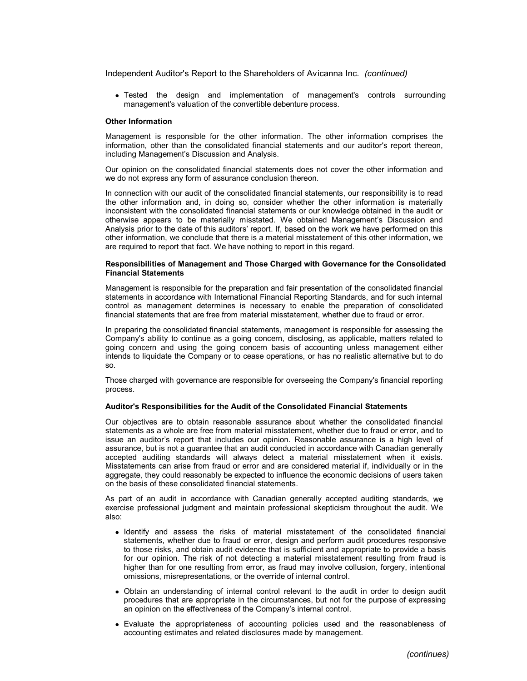Independent Auditor's Report to the Shareholders of Avicanna Inc. *(continued)*

• Tested the design and implementation of management's controls surrounding management's valuation of the convertible debenture process.

#### **Other Information**

Management is responsible for the other information. The other information comprises the information, other than the consolidated financial statements and our auditor's report thereon, including Management's Discussion and Analysis.

Our opinion on the consolidated financial statements does not cover the other information and we do not express any form of assurance conclusion thereon.

In connection with our audit of the consolidated financial statements, our responsibility is to read the other information and, in doing so, consider whether the other information is materially inconsistent with the consolidated financial statements or our knowledge obtained in the audit or otherwise appears to be materially misstated. We obtained Management's Discussion and Analysis prior to the date of this auditors' report. If, based on the work we have performed on this other information, we conclude that there is a material misstatement of this other information, we are required to report that fact. We have nothing to report in this regard.

#### **Responsibilities of Management and Those Charged with Governance for the Consolidated Financial Statements**

Management is responsible for the preparation and fair presentation of the consolidated financial statements in accordance with International Financial Reporting Standards, and for such internal control as management determines is necessary to enable the preparation of consolidated financial statements that are free from material misstatement, whether due to fraud or error.

In preparing the consolidated financial statements, management is responsible for assessing the Company's ability to continue as a going concern, disclosing, as applicable, matters related to going concern and using the going concern basis of accounting unless management either intends to liquidate the Company or to cease operations, or has no realistic alternative but to do so.

Those charged with governance are responsible for overseeing the Company's financial reporting process.

#### **Auditor's Responsibilities for the Audit of the Consolidated Financial Statements**

Our objectives are to obtain reasonable assurance about whether the consolidated financial statements as a whole are free from material misstatement, whether due to fraud or error, and to issue an auditor's report that includes our opinion. Reasonable assurance is a high level of assurance, but is not a guarantee that an audit conducted in accordance with Canadian generally accepted auditing standards will always detect a material misstatement when it exists. Misstatements can arise from fraud or error and are considered material if, individually or in the aggregate, they could reasonably be expected to influence the economic decisions of users taken on the basis of these consolidated financial statements.

As part of an audit in accordance with Canadian generally accepted auditing standards, we exercise professional judgment and maintain professional skepticism throughout the audit. We also:

- Identify and assess the risks of material misstatement of the consolidated financial statements, whether due to fraud or error, design and perform audit procedures responsive to those risks, and obtain audit evidence that is sufficient and appropriate to provide a basis for our opinion. The risk of not detecting a material misstatement resulting from fraud is higher than for one resulting from error, as fraud may involve collusion, forgery, intentional omissions, misrepresentations, or the override of internal control.
- Obtain an understanding of internal control relevant to the audit in order to design audit procedures that are appropriate in the circumstances, but not for the purpose of expressing an opinion on the effectiveness of the Company's internal control.
- Evaluate the appropriateness of accounting policies used and the reasonableness of accounting estimates and related disclosures made by management.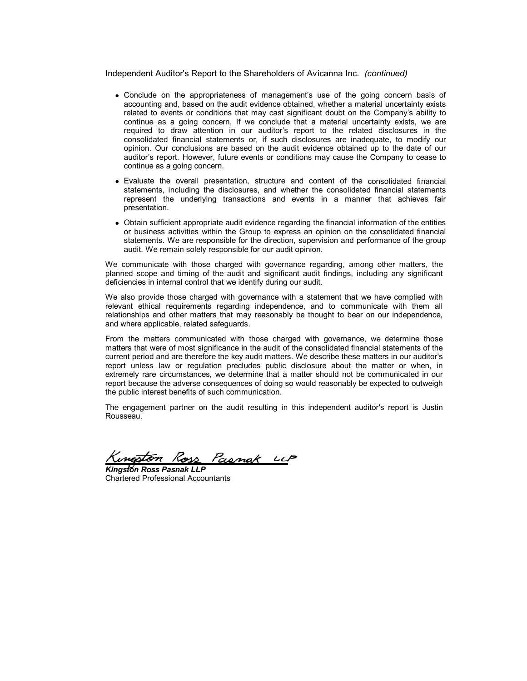Independent Auditor's Report to the Shareholders of Avicanna Inc. *(continued)*

- Conclude on the appropriateness of management's use of the going concern basis of accounting and, based on the audit evidence obtained, whether a material uncertainty exists related to events or conditions that may cast significant doubt on the Company's ability to continue as a going concern. If we conclude that a material uncertainty exists, we are required to draw attention in our auditor's report to the related disclosures in the consolidated financial statements or, if such disclosures are inadequate, to modify our opinion. Our conclusions are based on the audit evidence obtained up to the date of our auditor's report. However, future events or conditions may cause the Company to cease to continue as a going concern.
- Evaluate the overall presentation, structure and content of the consolidated financial statements, including the disclosures, and whether the consolidated financial statements represent the underlying transactions and events in a manner that achieves fair presentation.
- Obtain sufficient appropriate audit evidence regarding the financial information of the entities or business activities within the Group to express an opinion on the consolidated financial statements. We are responsible for the direction, supervision and performance of the group audit. We remain solely responsible for our audit opinion.

We communicate with those charged with governance regarding, among other matters, the planned scope and timing of the audit and significant audit findings, including any significant deficiencies in internal control that we identify during our audit.

We also provide those charged with governance with a statement that we have complied with relevant ethical requirements regarding independence, and to communicate with them all relationships and other matters that may reasonably be thought to bear on our independence, and where applicable, related safeguards.

From the matters communicated with those charged with governance, we determine those matters that were of most significance in the audit of the consolidated financial statements of the current period and are therefore the key audit matters. We describe these matters in our auditor's report unless law or regulation precludes public disclosure about the matter or when, in extremely rare circumstances, we determine that a matter should not be communicated in our report because the adverse consequences of doing so would reasonably be expected to outweigh the public interest benefits of such communication.

The engagement partner on the audit resulting in this independent auditor's report is Justin Rousseau.

Pasmak LLP

*Kingston Ross Pasnak LLP* Chartered Professional Accountants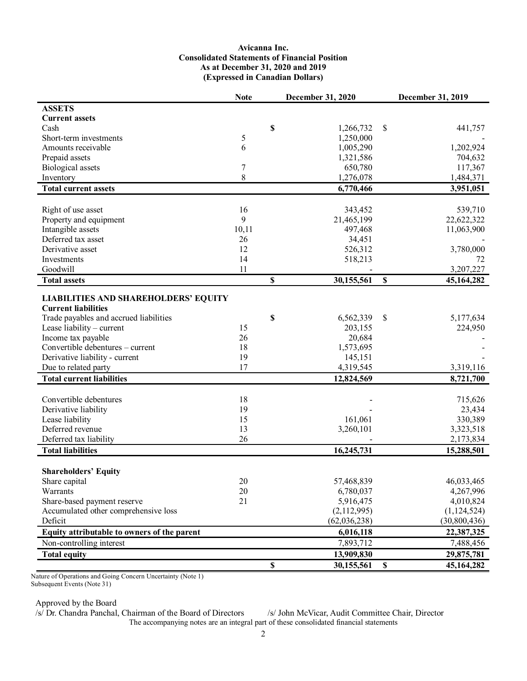## **Avicanna Inc. Consolidated Statements of Financial Position As at December 31, 2020 and 2019 (Expressed in Canadian Dollars)**

|                                                                     | <b>Note</b> |             | December 31, 2020 |                           | December 31, 2019 |
|---------------------------------------------------------------------|-------------|-------------|-------------------|---------------------------|-------------------|
| <b>ASSETS</b>                                                       |             |             |                   |                           |                   |
| <b>Current assets</b>                                               |             |             |                   |                           |                   |
| Cash                                                                |             | \$          | 1,266,732         | \$                        | 441,757           |
| Short-term investments                                              | 5           |             | 1,250,000         |                           |                   |
| Amounts receivable                                                  | 6           |             | 1,005,290         |                           | 1,202,924         |
| Prepaid assets                                                      |             |             | 1,321,586         |                           | 704,632           |
| <b>Biological</b> assets                                            | 7           |             | 650,780           |                           | 117,367           |
| Inventory                                                           | 8           |             | 1,276,078         |                           | 1,484,371         |
| <b>Total current assets</b>                                         |             |             | 6,770,466         |                           | 3,951,051         |
|                                                                     |             |             |                   |                           |                   |
| Right of use asset                                                  | 16          |             | 343,452           |                           | 539,710           |
| Property and equipment                                              | 9           |             | 21,465,199        |                           | 22,622,322        |
|                                                                     |             |             |                   |                           |                   |
| Intangible assets<br>Deferred tax asset                             | 10,11       |             | 497,468           |                           | 11,063,900        |
|                                                                     | 26          |             | 34,451            |                           |                   |
| Derivative asset                                                    | 12          |             | 526,312           |                           | 3,780,000         |
| Investments                                                         | 14          |             | 518,213           |                           | 72                |
| Goodwill                                                            | 11          |             |                   |                           | 3,207,227         |
| <b>Total assets</b>                                                 |             | $\mathbb S$ | 30,155,561        | $\boldsymbol{\mathsf{S}}$ | 45,164,282        |
| <b>LIABILITIES AND SHAREHOLDERS' EQUITY</b>                         |             |             |                   |                           |                   |
| <b>Current liabilities</b>                                          |             |             |                   |                           |                   |
|                                                                     |             |             |                   |                           |                   |
| Trade payables and accrued liabilities<br>Lease liability - current |             | \$          | 6,562,339         | \$                        | 5,177,634         |
|                                                                     | 15          |             | 203,155           |                           | 224,950           |
| Income tax payable                                                  | 26          |             | 20,684            |                           |                   |
| Convertible debentures - current                                    | 18          |             | 1,573,695         |                           |                   |
| Derivative liability - current                                      | 19          |             | 145,151           |                           |                   |
| Due to related party                                                | 17          |             | 4,319,545         |                           | 3,319,116         |
| <b>Total current liabilities</b>                                    |             |             | 12,824,569        |                           | 8,721,700         |
|                                                                     |             |             |                   |                           |                   |
| Convertible debentures                                              | 18          |             |                   |                           | 715,626           |
| Derivative liability                                                | 19          |             |                   |                           | 23,434            |
| Lease liability                                                     | 15          |             | 161,061           |                           | 330,389           |
| Deferred revenue                                                    | 13          |             | 3,260,101         |                           | 3,323,518         |
| Deferred tax liability                                              | 26          |             |                   |                           | 2,173,834         |
| <b>Total liabilities</b>                                            |             |             | 16,245,731        |                           | 15,288,501        |
|                                                                     |             |             |                   |                           |                   |
| <b>Shareholders' Equity</b>                                         |             |             |                   |                           |                   |
| Share capital                                                       | 20          |             | 57,468,839        |                           | 46,033,465        |
| Warrants                                                            | 20          |             | 6,780,037         |                           | 4,267,996         |
| Share-based payment reserve                                         | 21          |             | 5,916,475         |                           | 4,010,824         |
| Accumulated other comprehensive loss                                |             |             | (2,112,995)       |                           | (1, 124, 524)     |
| Deficit                                                             |             |             | (62,036,238)      |                           | (30,800,436)      |
| Equity attributable to owners of the parent                         |             |             | 6,016,118         |                           | 22,387,325        |
|                                                                     |             |             | 7,893,712         |                           |                   |
| Non-controlling interest                                            |             |             |                   |                           | 7,488,456         |
| <b>Total equity</b>                                                 |             |             | 13,909,830        |                           | 29,875,781        |
|                                                                     |             | $\mathbf S$ | 30,155,561        | $\boldsymbol{\mathsf{S}}$ | 45,164,282        |

Nature of Operations and Going Concern Uncertainty (Note 1) Subsequent Events (Note 31)

## Approved by the Board

/s/ Dr. Chandra Panchal, Chairman of the Board of Directors /s/ John McVicar, Audit Committee Chair, Director The accompanying notes are an integral part of these consolidated financial statements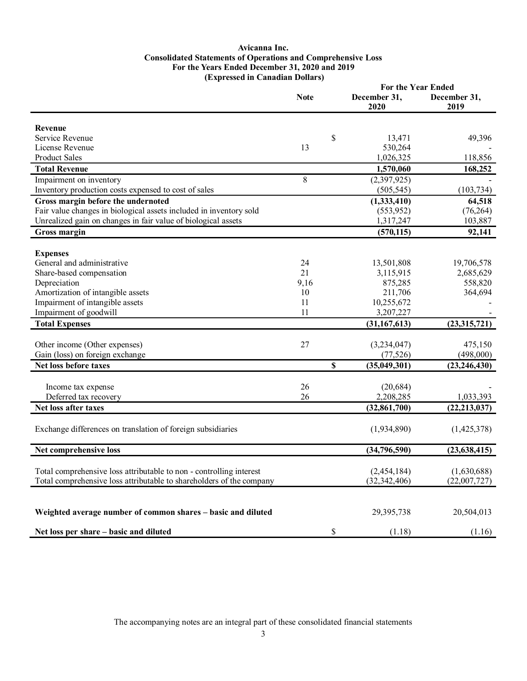### **Avicanna Inc. Consolidated Statements of Operations and Comprehensive Loss For the Years Ended December 31, 2020 and 2019 (Expressed in Canadian Dollars)**

|                                                                      |             |             | For the Year Ended   |                      |  |  |
|----------------------------------------------------------------------|-------------|-------------|----------------------|----------------------|--|--|
|                                                                      | <b>Note</b> |             | December 31,<br>2020 | December 31,<br>2019 |  |  |
| Revenue                                                              |             |             |                      |                      |  |  |
| Service Revenue                                                      |             | \$          | 13,471               | 49,396               |  |  |
| License Revenue                                                      | 13          |             | 530,264              |                      |  |  |
| Product Sales                                                        |             |             | 1,026,325            | 118,856              |  |  |
| <b>Total Revenue</b>                                                 |             |             | 1,570,060            | 168,252              |  |  |
| Impairment on inventory                                              | 8           |             | (2,397,925)          |                      |  |  |
| Inventory production costs expensed to cost of sales                 |             |             | (505, 545)           | (103, 734)           |  |  |
| Gross margin before the undernoted                                   |             |             | (1,333,410)          | 64,518               |  |  |
| Fair value changes in biological assets included in inventory sold   |             |             | (553,952)            | (76, 264)            |  |  |
| Unrealized gain on changes in fair value of biological assets        |             |             | 1,317,247            | 103,887              |  |  |
| Gross margin                                                         |             |             | (570, 115)           | 92,141               |  |  |
|                                                                      |             |             |                      |                      |  |  |
| <b>Expenses</b>                                                      |             |             |                      |                      |  |  |
| General and administrative                                           | 24          |             | 13,501,808           | 19,706,578           |  |  |
| Share-based compensation                                             | 21          |             | 3,115,915            | 2,685,629            |  |  |
| Depreciation<br>Amortization of intangible assets                    | 9,16<br>10  |             | 875,285<br>211,706   | 558,820<br>364,694   |  |  |
| Impairment of intangible assets                                      | 11          |             | 10,255,672           |                      |  |  |
| Impairment of goodwill                                               | 11          |             | 3,207,227            |                      |  |  |
| <b>Total Expenses</b>                                                |             |             | (31, 167, 613)       | (23,315,721)         |  |  |
|                                                                      |             |             |                      |                      |  |  |
| Other income (Other expenses)                                        | 27          |             | (3,234,047)          | 475,150              |  |  |
| Gain (loss) on foreign exchange                                      |             |             | (77, 526)            | (498,000)            |  |  |
| Net loss before taxes                                                |             | $\mathbf S$ | (35,049,301)         | (23, 246, 430)       |  |  |
|                                                                      |             |             |                      |                      |  |  |
| Income tax expense                                                   | 26          |             | (20, 684)            |                      |  |  |
| Deferred tax recovery                                                | 26          |             | 2,208,285            | 1,033,393            |  |  |
| Net loss after taxes                                                 |             |             | (32, 861, 700)       | (22, 213, 037)       |  |  |
| Exchange differences on translation of foreign subsidiaries          |             |             | (1,934,890)          | (1,425,378)          |  |  |
|                                                                      |             |             |                      |                      |  |  |
| Net comprehensive loss                                               |             |             | (34,796,590)         | (23, 638, 415)       |  |  |
| Total comprehensive loss attributable to non - controlling interest  |             |             | (2,454,184)          | (1,630,688)          |  |  |
| Total comprehensive loss attributable to shareholders of the company |             |             | (32, 342, 406)       | (22,007,727)         |  |  |
|                                                                      |             |             |                      |                      |  |  |
| Weighted average number of common shares - basic and diluted         |             |             | 29,395,738           | 20,504,013           |  |  |
|                                                                      |             |             |                      |                      |  |  |
| Net loss per share - basic and diluted                               |             | \$          | (1.18)               | (1.16)               |  |  |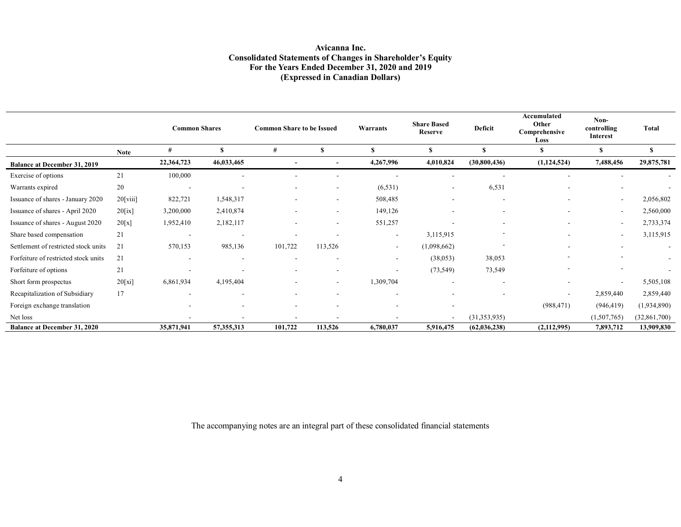## **Avicanna Inc. Consolidated Statements of Changes in Shareholder's Equity For the Years Ended December 31, 2020 and 2019 (Expressed in Canadian Dollars)**

|                                      |             | <b>Common Shares</b>     |                          | <b>Common Share to be Issued</b> |                          | Warrants                 | <b>Share Based</b><br>Reserve | Deficit                  | Accumulated<br>Other<br>Comprehensive<br>Loss | Non-<br>controlling<br>Interest | <b>Total</b> |
|--------------------------------------|-------------|--------------------------|--------------------------|----------------------------------|--------------------------|--------------------------|-------------------------------|--------------------------|-----------------------------------------------|---------------------------------|--------------|
|                                      | <b>Note</b> | #                        |                          | #                                | S                        |                          | S                             | S                        | $\mathbf{s}$                                  | S                               | S            |
| <b>Balance at December 31, 2019</b>  |             | 22,364,723               | 46,033,465               |                                  | $\overline{\phantom{a}}$ | 4,267,996                | 4,010,824                     | (30,800,436)             | (1,124,524)                                   | 7,488,456                       | 29,875,781   |
| Exercise of options                  | 21          | 100,000                  |                          |                                  |                          |                          |                               |                          |                                               |                                 |              |
| Warrants expired                     | 20          | $\overline{\phantom{a}}$ | $\overline{\phantom{a}}$ |                                  | ۰                        | (6, 531)                 | $\overline{\phantom{0}}$      | 6,531                    | ٠                                             | ٠                               |              |
| Issuance of shares - January 2020    | $20$ [viii] | 822,721                  | 1,548,317                |                                  | ۰                        | 508,485                  |                               | $\overline{\phantom{a}}$ | ٠                                             | $\overline{\phantom{a}}$        | 2,056,802    |
| Issuance of shares - April 2020      | $20$ [ix]   | 3,200,000                | 2,410,874                |                                  | $\overline{\phantom{a}}$ | 149,126                  |                               | $\overline{\phantom{a}}$ |                                               | $\overline{\phantom{a}}$        | 2,560,000    |
| Issuance of shares - August 2020     | 20[x]       | 1,952,410                | 2,182,117                |                                  | $\overline{\phantom{a}}$ | 551,257                  |                               |                          |                                               | $\overline{\phantom{a}}$        | 2,733,374    |
| Share based compensation             | 21          | $\overline{\phantom{a}}$ | $\overline{\phantom{a}}$ | ۰.                               | $\overline{\phantom{a}}$ | $\overline{\phantom{a}}$ | 3,115,915                     |                          |                                               | $\sim$                          | 3,115,915    |
| Settlement of restricted stock units | 21          | 570,153                  | 985,136                  | 101,722                          | 113,526                  | $\overline{\phantom{a}}$ | (1,098,662)                   |                          |                                               |                                 |              |
| Forfeiture of restricted stock units | 21          | $\overline{\phantom{a}}$ |                          |                                  |                          | $\overline{\phantom{a}}$ | (38,053)                      | 38,053                   |                                               |                                 |              |
| Forfeiture of options                | 21          | $\overline{\phantom{a}}$ |                          |                                  |                          |                          | (73, 549)                     | 73,549                   |                                               |                                 |              |
| Short form prospectus                | $20[x_i]$   | 6,861,934                | 4,195,404                |                                  | ۰                        | 1,309,704                |                               | $\overline{\phantom{a}}$ |                                               | $\overline{\phantom{a}}$        | 5,505,108    |
| Recapitalization of Subsidiary       | 17          |                          |                          |                                  |                          |                          |                               |                          | $\overline{\phantom{a}}$                      | 2,859,440                       | 2,859,440    |
| Foreign exchange translation         |             |                          |                          |                                  |                          |                          | $\overline{\phantom{0}}$      |                          | (988, 471)                                    | (946, 419)                      | (1,934,890)  |
| Net loss                             |             |                          |                          |                                  |                          |                          |                               | (31,353,935)             |                                               | (1,507,765)                     | (32,861,700) |
| <b>Balance at December 31, 2020</b>  |             | 35,871,941               | 57,355,313               | 101,722                          | 113,526                  | 6,780,037                | 5,916,475                     | (62,036,238)             | (2,112,995)                                   | 7,893,712                       | 13,909,830   |

The accompanying notes are an integral part of these consolidated financial statements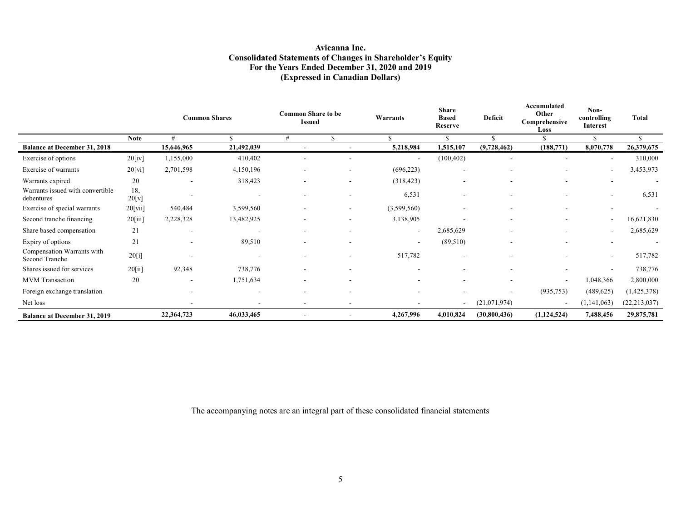## **Avicanna Inc. Consolidated Statements of Changes in Shareholder's Equity For the Years Ended December 31, 2020 and 2019 (Expressed in Canadian Dollars)**

|                                                |                 |            | <b>Common Shares</b>     | <b>Common Share to be</b><br><b>Issued</b> |                          | Warrants                 | <b>Share</b><br><b>Based</b><br>Reserve | Deficit      | Accumulated<br>Other<br>Comprehensive<br>Loss | Non-<br>controlling<br>Interest | <b>Total</b>   |
|------------------------------------------------|-----------------|------------|--------------------------|--------------------------------------------|--------------------------|--------------------------|-----------------------------------------|--------------|-----------------------------------------------|---------------------------------|----------------|
|                                                | <b>Note</b>     | #          |                          | #                                          | <sup>\$</sup>            |                          | <sup>\$</sup>                           |              |                                               |                                 |                |
| <b>Balance at December 31, 2018</b>            |                 | 15,646,965 | 21,492,039               | $\overline{\phantom{a}}$                   | $\sim$                   | 5,218,984                | 1,515,107                               | (9,728,462)  | (188, 771)                                    | 8,070,778                       | 26,379,675     |
| Exercise of options                            | $20$ [iv]       | 1,155,000  | 410,402                  |                                            |                          | $\overline{\phantom{a}}$ | (100, 402)                              |              |                                               |                                 | 310,000        |
| Exercise of warrants                           | $20[\text{vi}]$ | 2,701,598  | 4,150,196                |                                            | $\overline{\phantom{a}}$ | (696, 223)               |                                         |              |                                               | $\sim$                          | 3,453,973      |
| Warrants expired                               | 20              |            | 318,423                  | $\blacksquare$                             | $\overline{\phantom{a}}$ | (318, 423)               |                                         |              |                                               |                                 |                |
| Warrants issued with convertible<br>debentures | 18,<br>20[v]    |            |                          |                                            | ۰                        | 6,531                    |                                         |              |                                               | $\overline{\phantom{a}}$        | 6,531          |
| Exercise of special warrants                   | $20$ [vii]      | 540,484    | 3,599,560                |                                            | $\overline{\phantom{a}}$ | (3,599,560)              |                                         |              |                                               |                                 |                |
| Second tranche financing                       | $20$ [iii]      | 2,228,328  | 13,482,925               |                                            | ۰                        | 3,138,905                |                                         |              |                                               | $\sim$                          | 16,621,830     |
| Share based compensation                       | 21              |            |                          |                                            |                          | $\overline{\phantom{a}}$ | 2,685,629                               |              |                                               | $\overline{\phantom{a}}$        | 2,685,629      |
| Expiry of options                              | 21              |            | 89,510                   |                                            | ۰                        | $\overline{\phantom{a}}$ | (89,510)                                |              |                                               |                                 |                |
| Compensation Warrants with<br>Second Tranche   | 20[i]           |            |                          |                                            |                          | 517,782                  |                                         |              |                                               | $\overline{\phantom{a}}$        | 517,782        |
| Shares issued for services                     | 20[ii]          | 92,348     | 738,776                  |                                            | $\overline{\phantom{a}}$ | $\overline{\phantom{a}}$ |                                         |              |                                               | $\overline{\phantom{a}}$        | 738,776        |
| <b>MVM</b> Transaction                         | 20              |            | 1,751,634                |                                            | ۰                        | $\overline{\phantom{a}}$ |                                         |              | $\overline{\phantom{a}}$                      | 1,048,366                       | 2,800,000      |
| Foreign exchange translation                   |                 |            | $\blacksquare$           |                                            | $\overline{\phantom{a}}$ | $\overline{\phantom{a}}$ |                                         |              | (935,753)                                     | (489, 625)                      | (1,425,378)    |
| Net loss                                       |                 |            | $\overline{\phantom{a}}$ | $\overline{\phantom{a}}$                   | $\overline{\phantom{a}}$ | $\overline{\phantom{a}}$ | $\overline{\phantom{a}}$                | (21,071,974) | $\sim$                                        | (1, 141, 063)                   | (22, 213, 037) |
| <b>Balance at December 31, 2019</b>            |                 | 22,364,723 | 46,033,465               |                                            | ۰                        | 4,267,996                | 4,010,824                               | (30,800,436) | (1,124,524)                                   | 7,488,456                       | 29,875,781     |

The accompanying notes are an integral part of these consolidated financial statements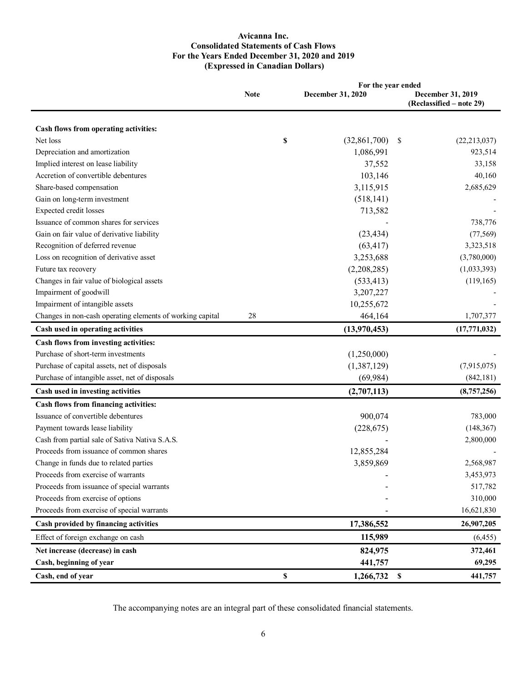## **Avicanna Inc. Consolidated Statements of Cash Flows For the Years Ended December 31, 2020 and 2019 (Expressed in Canadian Dollars)**

|                                                           |             | For the year ended |                                               |             |  |
|-----------------------------------------------------------|-------------|--------------------|-----------------------------------------------|-------------|--|
|                                                           | <b>Note</b> | December 31, 2020  | December 31, 2019<br>(Reclassified - note 29) |             |  |
|                                                           |             |                    |                                               |             |  |
| Cash flows from operating activities:                     |             |                    |                                               |             |  |
| Net loss                                                  |             | \$<br>(32,861,700) | \$<br>(22, 213, 037)                          |             |  |
| Depreciation and amortization                             |             | 1,086,991          |                                               | 923,514     |  |
| Implied interest on lease liability                       |             | 37,552             |                                               | 33,158      |  |
| Accretion of convertible debentures                       |             | 103,146            |                                               | 40,160      |  |
| Share-based compensation                                  |             | 3,115,915          |                                               | 2,685,629   |  |
| Gain on long-term investment                              |             | (518, 141)         |                                               |             |  |
| Expected credit losses                                    |             | 713,582            |                                               |             |  |
| Issuance of common shares for services                    |             |                    |                                               | 738,776     |  |
| Gain on fair value of derivative liability                |             | (23, 434)          |                                               | (77, 569)   |  |
| Recognition of deferred revenue                           |             | (63, 417)          |                                               | 3,323,518   |  |
| Loss on recognition of derivative asset                   |             | 3,253,688          |                                               | (3,780,000) |  |
| Future tax recovery                                       |             | (2,208,285)        |                                               | (1,033,393) |  |
| Changes in fair value of biological assets                |             | (533, 413)         |                                               | (119, 165)  |  |
| Impairment of goodwill                                    |             | 3,207,227          |                                               |             |  |
| Impairment of intangible assets                           |             | 10,255,672         |                                               |             |  |
| Changes in non-cash operating elements of working capital | 28          | 464,164            |                                               | 1,707,377   |  |
| Cash used in operating activities                         |             | (13,970,453)       | (17, 771, 032)                                |             |  |
| Cash flows from investing activities:                     |             |                    |                                               |             |  |
| Purchase of short-term investments                        |             | (1,250,000)        |                                               |             |  |
| Purchase of capital assets, net of disposals              |             | (1,387,129)        |                                               | (7,915,075) |  |
| Purchase of intangible asset, net of disposals            |             | (69, 984)          |                                               | (842, 181)  |  |
| Cash used in investing activities                         |             | (2,707,113)        | (8,757,256)                                   |             |  |
| Cash flows from financing activities:                     |             |                    |                                               |             |  |
| Issuance of convertible debentures                        |             | 900,074            |                                               | 783,000     |  |
| Payment towards lease liability                           |             | (228, 675)         |                                               | (148, 367)  |  |
| Cash from partial sale of Sativa Nativa S.A.S.            |             |                    |                                               | 2,800,000   |  |
| Proceeds from issuance of common shares                   |             | 12,855,284         |                                               |             |  |
| Change in funds due to related parties                    |             | 3,859,869          |                                               | 2,568,987   |  |
| Proceeds from exercise of warrants                        |             |                    |                                               | 3,453,973   |  |
| Proceeds from issuance of special warrants                |             |                    |                                               | 517,782     |  |
| Proceeds from exercise of options                         |             |                    |                                               | 310,000     |  |
| Proceeds from exercise of special warrants                |             |                    |                                               | 16,621,830  |  |
| Cash provided by financing activities                     |             | 17,386,552         |                                               | 26,907,205  |  |
| Effect of foreign exchange on cash                        |             | 115,989            |                                               | (6,455)     |  |
| Net increase (decrease) in cash                           |             | 824,975            |                                               | 372,461     |  |
| Cash, beginning of year                                   |             | 441,757            |                                               | 69,295      |  |
| Cash, end of year                                         |             | \$<br>1,266,732 \$ |                                               | 441,757     |  |

The accompanying notes are an integral part of these consolidated financial statements.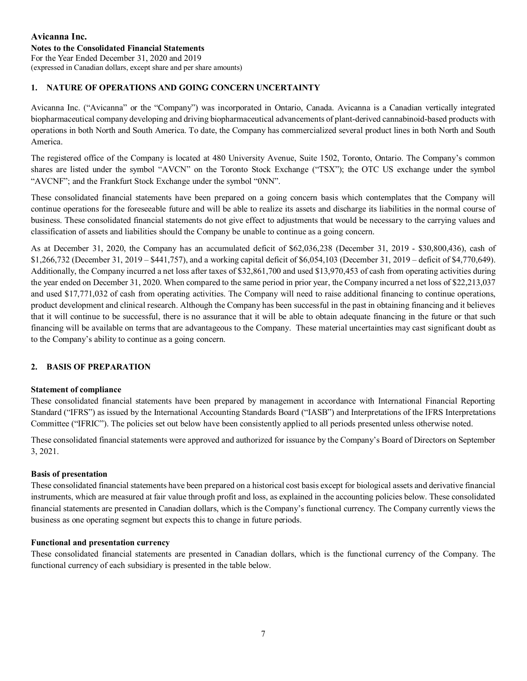## **1. NATURE OF OPERATIONS AND GOING CONCERN UNCERTAINTY**

Avicanna Inc. ("Avicanna" or the "Company") was incorporated in Ontario, Canada. Avicanna is a Canadian vertically integrated biopharmaceutical company developing and driving biopharmaceutical advancements of plant-derived cannabinoid-based products with operations in both North and South America. To date, the Company has commercialized several product lines in both North and South America.

The registered office of the Company is located at 480 University Avenue, Suite 1502, Toronto, Ontario. The Company's common shares are listed under the symbol "AVCN" on the Toronto Stock Exchange ("TSX"); the OTC US exchange under the symbol "AVCNF"; and the Frankfurt Stock Exchange under the symbol "0NN".

These consolidated financial statements have been prepared on a going concern basis which contemplates that the Company will continue operations for the foreseeable future and will be able to realize its assets and discharge its liabilities in the normal course of business. These consolidated financial statements do not give effect to adjustments that would be necessary to the carrying values and classification of assets and liabilities should the Company be unable to continue as a going concern.

As at December 31, 2020, the Company has an accumulated deficit of \$62,036,238 (December 31, 2019 - \$30,800,436), cash of \$1,266,732 (December 31, 2019 – \$441,757), and a working capital deficit of \$6,054,103 (December 31, 2019 – deficit of \$4,770,649). Additionally, the Company incurred a net loss after taxes of \$32,861,700 and used \$13,970,453 of cash from operating activities during the year ended on December 31, 2020. When compared to the same period in prior year, the Company incurred a net loss of \$22,213,037 and used \$17,771,032 of cash from operating activities. The Company will need to raise additional financing to continue operations, product development and clinical research. Although the Company has been successful in the past in obtaining financing and it believes that it will continue to be successful, there is no assurance that it will be able to obtain adequate financing in the future or that such financing will be available on terms that are advantageous to the Company. These material uncertainties may cast significant doubt as to the Company's ability to continue as a going concern.

## **2. BASIS OF PREPARATION**

#### **Statement of compliance**

These consolidated financial statements have been prepared by management in accordance with International Financial Reporting Standard ("IFRS") as issued by the International Accounting Standards Board ("IASB") and Interpretations of the IFRS Interpretations Committee ("IFRIC"). The policies set out below have been consistently applied to all periods presented unless otherwise noted.

These consolidated financial statements were approved and authorized for issuance by the Company's Board of Directors on September 3, 2021.

#### **Basis of presentation**

These consolidated financial statements have been prepared on a historical cost basis except for biological assets and derivative financial instruments, which are measured at fair value through profit and loss, as explained in the accounting policies below. These consolidated financial statements are presented in Canadian dollars, which is the Company's functional currency. The Company currently views the business as one operating segment but expects this to change in future periods.

#### **Functional and presentation currency**

These consolidated financial statements are presented in Canadian dollars, which is the functional currency of the Company. The functional currency of each subsidiary is presented in the table below.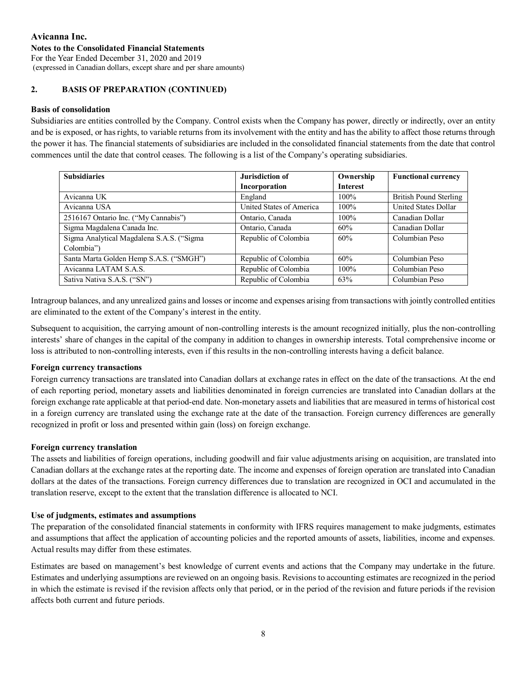# **Avicanna Inc. Notes to the Consolidated Financial Statements** For the Year Ended December 31, 2020 and 2019

(expressed in Canadian dollars, except share and per share amounts)

# **2. BASIS OF PREPARATION (CONTINUED)**

## **Basis of consolidation**

Subsidiaries are entities controlled by the Company. Control exists when the Company has power, directly or indirectly, over an entity and be is exposed, or has rights, to variable returns from its involvement with the entity and has the ability to affect those returns through the power it has. The financial statements of subsidiaries are included in the consolidated financial statements from the date that control commences until the date that control ceases. The following is a list of the Company's operating subsidiaries.

| <b>Subsidiaries</b>                       | Jurisdiction of          | Ownership       | <b>Functional currency</b>  |
|-------------------------------------------|--------------------------|-----------------|-----------------------------|
|                                           | Incorporation            | <b>Interest</b> |                             |
| Avicanna UK                               | England                  | $100\%$         | British Pound Sterling      |
| Avicanna USA                              | United States of America | 100%            | <b>United States Dollar</b> |
| 2516167 Ontario Inc. ("My Cannabis")      | Ontario, Canada          | 100%            | Canadian Dollar             |
| Sigma Magdalena Canada Inc.               | Ontario, Canada          | 60%             | Canadian Dollar             |
| Sigma Analytical Magdalena S.A.S. ("Sigma | Republic of Colombia     | 60%             | Columbian Peso              |
| Colombia")                                |                          |                 |                             |
| Santa Marta Golden Hemp S.A.S. ("SMGH")   | Republic of Colombia     | 60%             | Columbian Peso              |
| Avicanna LATAM S.A.S.                     | Republic of Colombia     | 100%            | Columbian Peso              |
| Sativa Nativa S.A.S. ("SN")               | Republic of Colombia     | 63%             | Columbian Peso              |

Intragroup balances, and any unrealized gains and losses or income and expenses arising from transactions with jointly controlled entities are eliminated to the extent of the Company's interest in the entity.

Subsequent to acquisition, the carrying amount of non-controlling interests is the amount recognized initially, plus the non-controlling interests' share of changes in the capital of the company in addition to changes in ownership interests. Total comprehensive income or loss is attributed to non-controlling interests, even if this results in the non-controlling interests having a deficit balance.

## **Foreign currency transactions**

Foreign currency transactions are translated into Canadian dollars at exchange rates in effect on the date of the transactions. At the end of each reporting period, monetary assets and liabilities denominated in foreign currencies are translated into Canadian dollars at the foreign exchange rate applicable at that period-end date. Non-monetary assets and liabilities that are measured in terms of historical cost in a foreign currency are translated using the exchange rate at the date of the transaction. Foreign currency differences are generally recognized in profit or loss and presented within gain (loss) on foreign exchange.

## **Foreign currency translation**

The assets and liabilities of foreign operations, including goodwill and fair value adjustments arising on acquisition, are translated into Canadian dollars at the exchange rates at the reporting date. The income and expenses of foreign operation are translated into Canadian dollars at the dates of the transactions. Foreign currency differences due to translation are recognized in OCI and accumulated in the translation reserve, except to the extent that the translation difference is allocated to NCI.

## **Use of judgments, estimates and assumptions**

The preparation of the consolidated financial statements in conformity with IFRS requires management to make judgments, estimates and assumptions that affect the application of accounting policies and the reported amounts of assets, liabilities, income and expenses. Actual results may differ from these estimates.

Estimates are based on management's best knowledge of current events and actions that the Company may undertake in the future. Estimates and underlying assumptions are reviewed on an ongoing basis. Revisions to accounting estimates are recognized in the period in which the estimate is revised if the revision affects only that period, or in the period of the revision and future periods if the revision affects both current and future periods.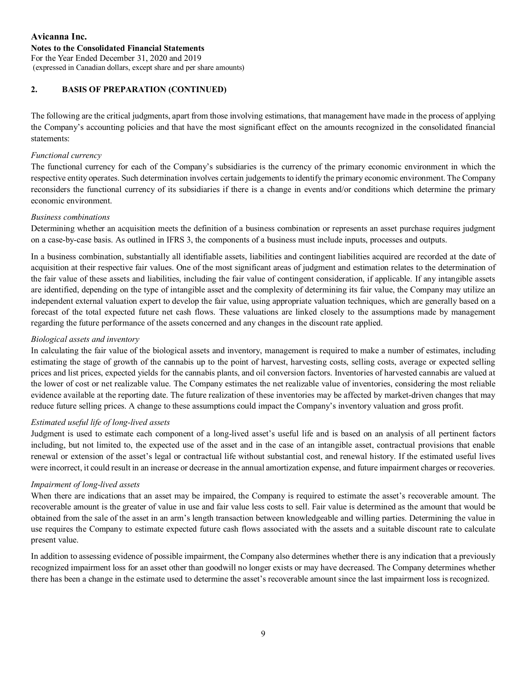### **Avicanna Inc. Notes to the Consolidated Financial Statements** For the Year Ended December 31, 2020 and 2019 (expressed in Canadian dollars, except share and per share amounts)

# **2. BASIS OF PREPARATION (CONTINUED)**

The following are the critical judgments, apart from those involving estimations, that management have made in the process of applying the Company's accounting policies and that have the most significant effect on the amounts recognized in the consolidated financial statements:

## *Functional currency*

The functional currency for each of the Company's subsidiaries is the currency of the primary economic environment in which the respective entity operates. Such determination involves certain judgements to identify the primary economic environment. The Company reconsiders the functional currency of its subsidiaries if there is a change in events and/or conditions which determine the primary economic environment.

## *Business combinations*

Determining whether an acquisition meets the definition of a business combination or represents an asset purchase requires judgment on a case-by-case basis. As outlined in IFRS 3, the components of a business must include inputs, processes and outputs.

In a business combination, substantially all identifiable assets, liabilities and contingent liabilities acquired are recorded at the date of acquisition at their respective fair values. One of the most significant areas of judgment and estimation relates to the determination of the fair value of these assets and liabilities, including the fair value of contingent consideration, if applicable. If any intangible assets are identified, depending on the type of intangible asset and the complexity of determining its fair value, the Company may utilize an independent external valuation expert to develop the fair value, using appropriate valuation techniques, which are generally based on a forecast of the total expected future net cash flows. These valuations are linked closely to the assumptions made by management regarding the future performance of the assets concerned and any changes in the discount rate applied.

## *Biological assets and inventory*

In calculating the fair value of the biological assets and inventory, management is required to make a number of estimates, including estimating the stage of growth of the cannabis up to the point of harvest, harvesting costs, selling costs, average or expected selling prices and list prices, expected yields for the cannabis plants, and oil conversion factors. Inventories of harvested cannabis are valued at the lower of cost or net realizable value. The Company estimates the net realizable value of inventories, considering the most reliable evidence available at the reporting date. The future realization of these inventories may be affected by market-driven changes that may reduce future selling prices. A change to these assumptions could impact the Company's inventory valuation and gross profit.

## *Estimated useful life of long-lived assets*

Judgment is used to estimate each component of a long-lived asset's useful life and is based on an analysis of all pertinent factors including, but not limited to, the expected use of the asset and in the case of an intangible asset, contractual provisions that enable renewal or extension of the asset's legal or contractual life without substantial cost, and renewal history. If the estimated useful lives were incorrect, it could result in an increase or decrease in the annual amortization expense, and future impairment charges or recoveries.

## *Impairment of long-lived assets*

When there are indications that an asset may be impaired, the Company is required to estimate the asset's recoverable amount. The recoverable amount is the greater of value in use and fair value less costs to sell. Fair value is determined as the amount that would be obtained from the sale of the asset in an arm's length transaction between knowledgeable and willing parties. Determining the value in use requires the Company to estimate expected future cash flows associated with the assets and a suitable discount rate to calculate present value.

In addition to assessing evidence of possible impairment, the Company also determines whether there is any indication that a previously recognized impairment loss for an asset other than goodwill no longer exists or may have decreased. The Company determines whether there has been a change in the estimate used to determine the asset's recoverable amount since the last impairment loss is recognized.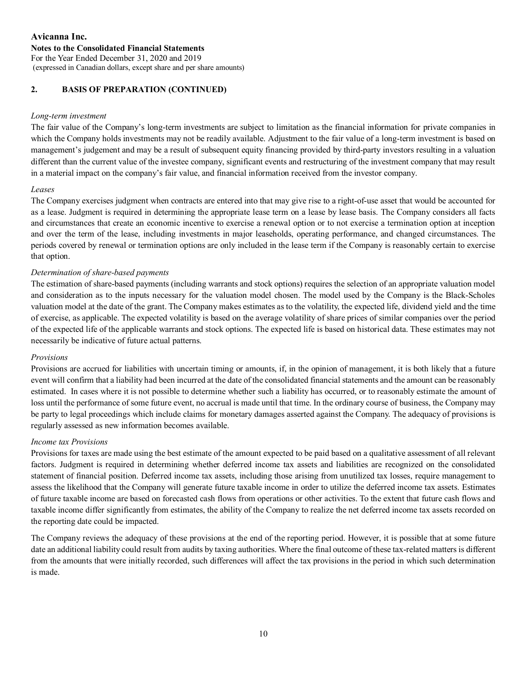# **Avicanna Inc.**

## **Notes to the Consolidated Financial Statements**

For the Year Ended December 31, 2020 and 2019 (expressed in Canadian dollars, except share and per share amounts)

## **2. BASIS OF PREPARATION (CONTINUED)**

#### *Long-term investment*

The fair value of the Company's long-term investments are subject to limitation as the financial information for private companies in which the Company holds investments may not be readily available. Adjustment to the fair value of a long-term investment is based on management's judgement and may be a result of subsequent equity financing provided by third-party investors resulting in a valuation different than the current value of the investee company, significant events and restructuring of the investment company that may result in a material impact on the company's fair value, and financial information received from the investor company.

## *Leases*

The Company exercises judgment when contracts are entered into that may give rise to a right-of-use asset that would be accounted for as a lease. Judgment is required in determining the appropriate lease term on a lease by lease basis. The Company considers all facts and circumstances that create an economic incentive to exercise a renewal option or to not exercise a termination option at inception and over the term of the lease, including investments in major leaseholds, operating performance, and changed circumstances. The periods covered by renewal or termination options are only included in the lease term if the Company is reasonably certain to exercise that option.

#### *Determination of share-based payments*

The estimation of share-based payments (including warrants and stock options) requires the selection of an appropriate valuation model and consideration as to the inputs necessary for the valuation model chosen. The model used by the Company is the Black-Scholes valuation model at the date of the grant. The Company makes estimates as to the volatility, the expected life, dividend yield and the time of exercise, as applicable. The expected volatility is based on the average volatility of share prices of similar companies over the period of the expected life of the applicable warrants and stock options. The expected life is based on historical data. These estimates may not necessarily be indicative of future actual patterns.

## *Provisions*

Provisions are accrued for liabilities with uncertain timing or amounts, if, in the opinion of management, it is both likely that a future event will confirm that a liability had been incurred at the date of the consolidated financial statements and the amount can be reasonably estimated. In cases where it is not possible to determine whether such a liability has occurred, or to reasonably estimate the amount of loss until the performance of some future event, no accrual is made until that time. In the ordinary course of business, the Company may be party to legal proceedings which include claims for monetary damages asserted against the Company. The adequacy of provisions is regularly assessed as new information becomes available.

## *Income tax Provisions*

Provisions for taxes are made using the best estimate of the amount expected to be paid based on a qualitative assessment of all relevant factors. Judgment is required in determining whether deferred income tax assets and liabilities are recognized on the consolidated statement of financial position. Deferred income tax assets, including those arising from unutilized tax losses, require management to assess the likelihood that the Company will generate future taxable income in order to utilize the deferred income tax assets. Estimates of future taxable income are based on forecasted cash flows from operations or other activities. To the extent that future cash flows and taxable income differ significantly from estimates, the ability of the Company to realize the net deferred income tax assets recorded on the reporting date could be impacted.

The Company reviews the adequacy of these provisions at the end of the reporting period. However, it is possible that at some future date an additional liability could result from audits by taxing authorities. Where the final outcome of these tax-related matters is different from the amounts that were initially recorded, such differences will affect the tax provisions in the period in which such determination is made.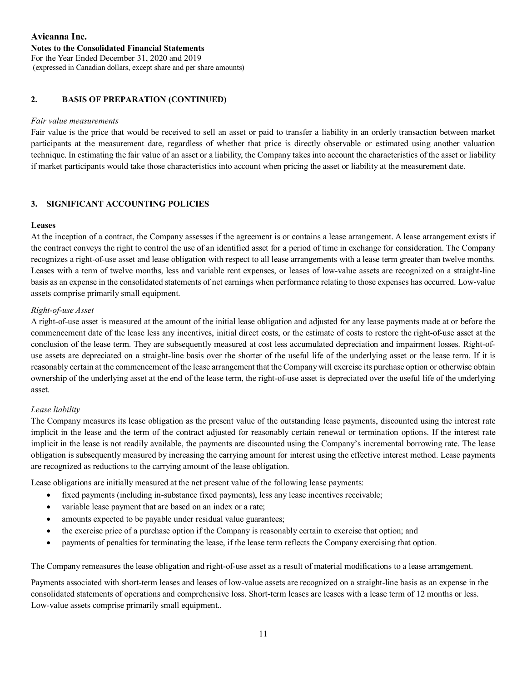### **Avicanna Inc. Notes to the Consolidated Financial Statements** For the Year Ended December 31, 2020 and 2019 (expressed in Canadian dollars, except share and per share amounts)

# **2. BASIS OF PREPARATION (CONTINUED)**

### *Fair value measurements*

Fair value is the price that would be received to sell an asset or paid to transfer a liability in an orderly transaction between market participants at the measurement date, regardless of whether that price is directly observable or estimated using another valuation technique. In estimating the fair value of an asset or a liability, the Company takes into account the characteristics of the asset or liability if market participants would take those characteristics into account when pricing the asset or liability at the measurement date.

## **3. SIGNIFICANT ACCOUNTING POLICIES**

#### **Leases**

At the inception of a contract, the Company assesses if the agreement is or contains a lease arrangement. A lease arrangement exists if the contract conveys the right to control the use of an identified asset for a period of time in exchange for consideration. The Company recognizes a right-of-use asset and lease obligation with respect to all lease arrangements with a lease term greater than twelve months. Leases with a term of twelve months, less and variable rent expenses, or leases of low-value assets are recognized on a straight-line basis as an expense in the consolidated statements of net earnings when performance relating to those expenses has occurred. Low-value assets comprise primarily small equipment.

## *Right-of-use Asset*

A right-of-use asset is measured at the amount of the initial lease obligation and adjusted for any lease payments made at or before the commencement date of the lease less any incentives, initial direct costs, or the estimate of costs to restore the right-of-use asset at the conclusion of the lease term. They are subsequently measured at cost less accumulated depreciation and impairment losses. Right-ofuse assets are depreciated on a straight-line basis over the shorter of the useful life of the underlying asset or the lease term. If it is reasonably certain at the commencement of the lease arrangement that the Company will exercise its purchase option or otherwise obtain ownership of the underlying asset at the end of the lease term, the right-of-use asset is depreciated over the useful life of the underlying asset.

## *Lease liability*

The Company measures its lease obligation as the present value of the outstanding lease payments, discounted using the interest rate implicit in the lease and the term of the contract adjusted for reasonably certain renewal or termination options. If the interest rate implicit in the lease is not readily available, the payments are discounted using the Company's incremental borrowing rate. The lease obligation is subsequently measured by increasing the carrying amount for interest using the effective interest method. Lease payments are recognized as reductions to the carrying amount of the lease obligation.

Lease obligations are initially measured at the net present value of the following lease payments:

- fixed payments (including in-substance fixed payments), less any lease incentives receivable;
- variable lease payment that are based on an index or a rate;
- amounts expected to be payable under residual value guarantees;
- · the exercise price of a purchase option if the Company is reasonably certain to exercise that option; and
- payments of penalties for terminating the lease, if the lease term reflects the Company exercising that option.

The Company remeasures the lease obligation and right-of-use asset as a result of material modifications to a lease arrangement.

Payments associated with short-term leases and leases of low-value assets are recognized on a straight-line basis as an expense in the consolidated statements of operations and comprehensive loss. Short-term leases are leases with a lease term of 12 months or less. Low-value assets comprise primarily small equipment..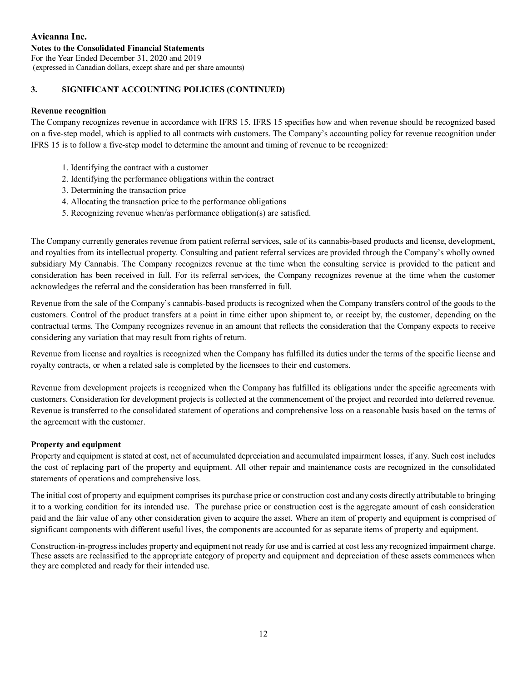## **Revenue recognition**

The Company recognizes revenue in accordance with IFRS 15. IFRS 15 specifies how and when revenue should be recognized based on a five-step model, which is applied to all contracts with customers. The Company's accounting policy for revenue recognition under IFRS 15 is to follow a five-step model to determine the amount and timing of revenue to be recognized:

- 1. Identifying the contract with a customer
- 2. Identifying the performance obligations within the contract
- 3. Determining the transaction price
- 4. Allocating the transaction price to the performance obligations
- 5. Recognizing revenue when/as performance obligation(s) are satisfied.

The Company currently generates revenue from patient referral services, sale of its cannabis-based products and license, development, and royalties from its intellectual property. Consulting and patient referral services are provided through the Company's wholly owned subsidiary My Cannabis. The Company recognizes revenue at the time when the consulting service is provided to the patient and consideration has been received in full. For its referral services, the Company recognizes revenue at the time when the customer acknowledges the referral and the consideration has been transferred in full.

Revenue from the sale of the Company's cannabis-based products is recognized when the Company transfers control of the goods to the customers. Control of the product transfers at a point in time either upon shipment to, or receipt by, the customer, depending on the contractual terms. The Company recognizes revenue in an amount that reflects the consideration that the Company expects to receive considering any variation that may result from rights of return.

Revenue from license and royalties is recognized when the Company has fulfilled its duties under the terms of the specific license and royalty contracts, or when a related sale is completed by the licensees to their end customers.

Revenue from development projects is recognized when the Company has fulfilled its obligations under the specific agreements with customers. Consideration for development projects is collected at the commencement of the project and recorded into deferred revenue. Revenue is transferred to the consolidated statement of operations and comprehensive loss on a reasonable basis based on the terms of the agreement with the customer.

## **Property and equipment**

Property and equipment is stated at cost, net of accumulated depreciation and accumulated impairment losses, if any. Such cost includes the cost of replacing part of the property and equipment. All other repair and maintenance costs are recognized in the consolidated statements of operations and comprehensive loss.

The initial cost of property and equipment comprises its purchase price or construction cost and any costs directly attributable to bringing it to a working condition for its intended use. The purchase price or construction cost is the aggregate amount of cash consideration paid and the fair value of any other consideration given to acquire the asset. Where an item of property and equipment is comprised of significant components with different useful lives, the components are accounted for as separate items of property and equipment.

Construction-in-progress includes property and equipment not ready for use and is carried at cost less any recognized impairment charge. These assets are reclassified to the appropriate category of property and equipment and depreciation of these assets commences when they are completed and ready for their intended use.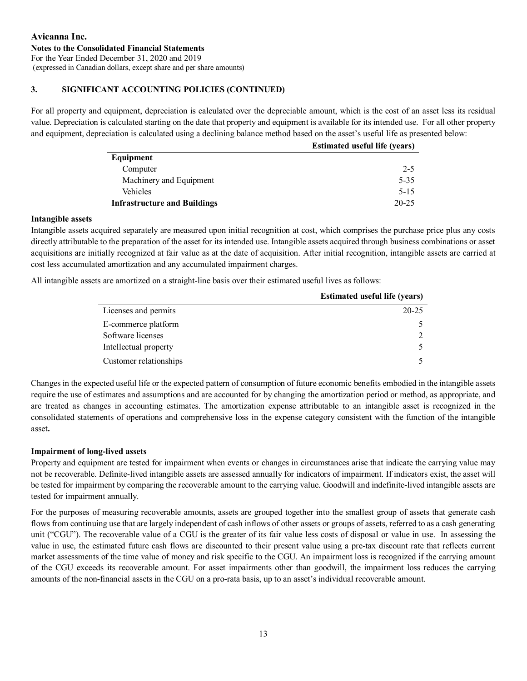For all property and equipment, depreciation is calculated over the depreciable amount, which is the cost of an asset less its residual value. Depreciation is calculated starting on the date that property and equipment is available for its intended use. For all other property and equipment, depreciation is calculated using a declining balance method based on the asset's useful life as presented below:

|                                     | <b>Estimated useful life (years)</b> |
|-------------------------------------|--------------------------------------|
| Equipment                           |                                      |
| Computer                            | $2 - 5$                              |
| Machinery and Equipment             | $5 - 35$                             |
| Vehicles                            | $5 - 15$                             |
| <b>Infrastructure and Buildings</b> | 20-25                                |

#### **Intangible assets**

Intangible assets acquired separately are measured upon initial recognition at cost, which comprises the purchase price plus any costs directly attributable to the preparation of the asset for its intended use. Intangible assets acquired through business combinations or asset acquisitions are initially recognized at fair value as at the date of acquisition. After initial recognition, intangible assets are carried at cost less accumulated amortization and any accumulated impairment charges.

All intangible assets are amortized on a straight-line basis over their estimated useful lives as follows:

|                        | <b>Estimated useful life (years)</b> |
|------------------------|--------------------------------------|
| Licenses and permits   | $20 - 25$                            |
| E-commerce platform    |                                      |
| Software licenses      |                                      |
| Intellectual property  |                                      |
| Customer relationships |                                      |

Changes in the expected useful life or the expected pattern of consumption of future economic benefits embodied in the intangible assets require the use of estimates and assumptions and are accounted for by changing the amortization period or method, as appropriate, and are treated as changes in accounting estimates. The amortization expense attributable to an intangible asset is recognized in the consolidated statements of operations and comprehensive loss in the expense category consistent with the function of the intangible asset**.**

#### **Impairment of long-lived assets**

Property and equipment are tested for impairment when events or changes in circumstances arise that indicate the carrying value may not be recoverable. Definite-lived intangible assets are assessed annually for indicators of impairment. If indicators exist, the asset will be tested for impairment by comparing the recoverable amount to the carrying value. Goodwill and indefinite-lived intangible assets are tested for impairment annually.

For the purposes of measuring recoverable amounts, assets are grouped together into the smallest group of assets that generate cash flows from continuing use that are largely independent of cash inflows of other assets or groups of assets, referred to as a cash generating unit ("CGU"). The recoverable value of a CGU is the greater of its fair value less costs of disposal or value in use. In assessing the value in use, the estimated future cash flows are discounted to their present value using a pre-tax discount rate that reflects current market assessments of the time value of money and risk specific to the CGU. An impairment loss is recognized if the carrying amount of the CGU exceeds its recoverable amount. For asset impairments other than goodwill, the impairment loss reduces the carrying amounts of the non-financial assets in the CGU on a pro-rata basis, up to an asset's individual recoverable amount.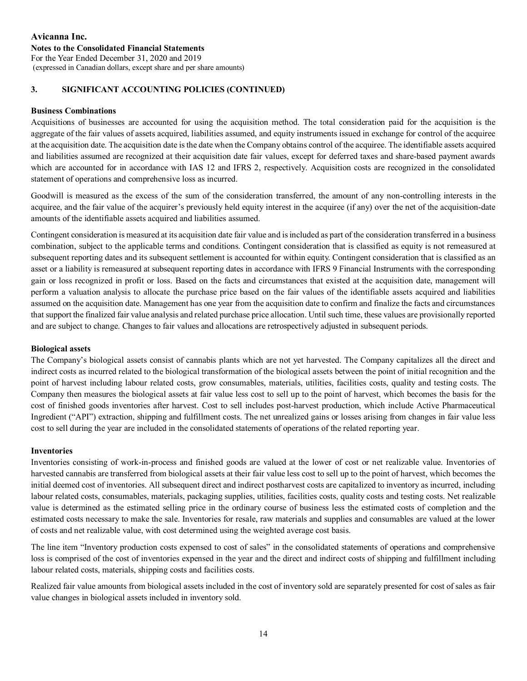### **Business Combinations**

Acquisitions of businesses are accounted for using the acquisition method. The total consideration paid for the acquisition is the aggregate of the fair values of assets acquired, liabilities assumed, and equity instruments issued in exchange for control of the acquiree at the acquisition date. The acquisition date is the date when the Company obtains control of the acquiree. The identifiable assets acquired and liabilities assumed are recognized at their acquisition date fair values, except for deferred taxes and share-based payment awards which are accounted for in accordance with IAS 12 and IFRS 2, respectively. Acquisition costs are recognized in the consolidated statement of operations and comprehensive loss as incurred.

Goodwill is measured as the excess of the sum of the consideration transferred, the amount of any non-controlling interests in the acquiree, and the fair value of the acquirer's previously held equity interest in the acquiree (if any) over the net of the acquisition-date amounts of the identifiable assets acquired and liabilities assumed.

Contingent consideration is measured at its acquisition date fair value and is included as part of the consideration transferred in a business combination, subject to the applicable terms and conditions. Contingent consideration that is classified as equity is not remeasured at subsequent reporting dates and its subsequent settlement is accounted for within equity. Contingent consideration that is classified as an asset or a liability is remeasured at subsequent reporting dates in accordance with IFRS 9 Financial Instruments with the corresponding gain or loss recognized in profit or loss. Based on the facts and circumstances that existed at the acquisition date, management will perform a valuation analysis to allocate the purchase price based on the fair values of the identifiable assets acquired and liabilities assumed on the acquisition date. Management has one year from the acquisition date to confirm and finalize the facts and circumstances that support the finalized fair value analysis and related purchase price allocation. Until such time, these values are provisionally reported and are subject to change. Changes to fair values and allocations are retrospectively adjusted in subsequent periods.

#### **Biological assets**

The Company's biological assets consist of cannabis plants which are not yet harvested. The Company capitalizes all the direct and indirect costs as incurred related to the biological transformation of the biological assets between the point of initial recognition and the point of harvest including labour related costs, grow consumables, materials, utilities, facilities costs, quality and testing costs. The Company then measures the biological assets at fair value less cost to sell up to the point of harvest, which becomes the basis for the cost of finished goods inventories after harvest. Cost to sell includes post-harvest production, which include Active Pharmaceutical Ingredient ("API") extraction, shipping and fulfillment costs. The net unrealized gains or losses arising from changes in fair value less cost to sell during the year are included in the consolidated statements of operations of the related reporting year.

#### **Inventories**

Inventories consisting of work-in-process and finished goods are valued at the lower of cost or net realizable value. Inventories of harvested cannabis are transferred from biological assets at their fair value less cost to sell up to the point of harvest, which becomes the initial deemed cost of inventories. All subsequent direct and indirect postharvest costs are capitalized to inventory as incurred, including labour related costs, consumables, materials, packaging supplies, utilities, facilities costs, quality costs and testing costs. Net realizable value is determined as the estimated selling price in the ordinary course of business less the estimated costs of completion and the estimated costs necessary to make the sale. Inventories for resale, raw materials and supplies and consumables are valued at the lower of costs and net realizable value, with cost determined using the weighted average cost basis.

The line item "Inventory production costs expensed to cost of sales" in the consolidated statements of operations and comprehensive loss is comprised of the cost of inventories expensed in the year and the direct and indirect costs of shipping and fulfillment including labour related costs, materials, shipping costs and facilities costs.

Realized fair value amounts from biological assets included in the cost of inventory sold are separately presented for cost of sales as fair value changes in biological assets included in inventory sold.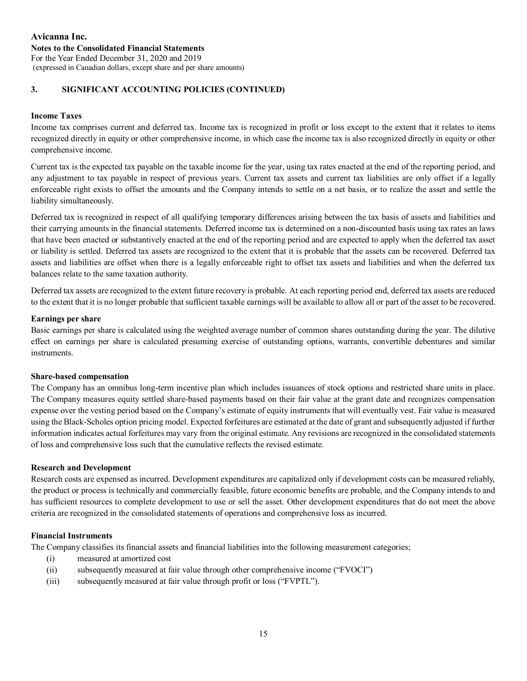### **Income Taxes**

Income tax comprises current and deferred tax. Income tax is recognized in profit or loss except to the extent that it relates to items recognized directly in equity or other comprehensive income, in which case the income tax is also recognized directly in equity or other comprehensive income.

Current tax is the expected tax payable on the taxable income for the year, using tax rates enacted at the end of the reporting period, and any adjustment to tax payable in respect of previous years. Current tax assets and current tax liabilities are only offset if a legally enforceable right exists to offset the amounts and the Company intends to settle on a net basis, or to realize the asset and settle the liability simultaneously.

Deferred tax is recognized in respect of all qualifying temporary differences arising between the tax basis of assets and liabilities and their carrying amounts in the financial statements. Deferred income tax is determined on a non-discounted basis using tax rates an laws that have been enacted or substantively enacted at the end of the reporting period and are expected to apply when the deferred tax asset or liability is settled. Deferred tax assets are recognized to the extent that it is probable that the assets can be recovered. Deferred tax assets and liabilities are offset when there is a legally enforceable right to offset tax assets and liabilities and when the deferred tax balances relate to the same taxation authority.

Deferred tax assets are recognized to the extent future recovery is probable. At each reporting period end, deferred tax assets are reduced to the extent that it is no longer probable that sufficient taxable earnings will be available to allow all or part of the asset to be recovered.

#### **Earnings per share**

Basic earnings per share is calculated using the weighted average number of common shares outstanding during the year. The dilutive effect on earnings per share is calculated presuming exercise of outstanding options, warrants, convertible debentures and similar instruments.

## **Share-based compensation**

The Company has an omnibus long-term incentive plan which includes issuances of stock options and restricted share units in place. The Company measures equity settled share-based payments based on their fair value at the grant date and recognizes compensation expense over the vesting period based on the Company's estimate of equity instruments that will eventually vest. Fair value is measured using the Black-Scholes option pricing model. Expected forfeitures are estimated at the date of grant and subsequently adjusted if further information indicates actual forfeitures may vary from the original estimate. Any revisions are recognized in the consolidated statements of loss and comprehensive loss such that the cumulative reflects the revised estimate.

#### **Research and Development**

Research costs are expensed as incurred. Development expenditures are capitalized only if development costs can be measured reliably, the product or process is technically and commercially feasible, future economic benefits are probable, and the Company intends to and has sufficient resources to complete development to use or sell the asset. Other development expenditures that do not meet the above criteria are recognized in the consolidated statements of operations and comprehensive loss as incurred.

#### **Financial Instruments**

The Company classifies its financial assets and financial liabilities into the following measurement categories;

- (i) measured at amortized cost
- (ii) subsequently measured at fair value through other comprehensive income ("FVOCI")
- (iii) subsequently measured at fair value through profit or loss ("FVPTL").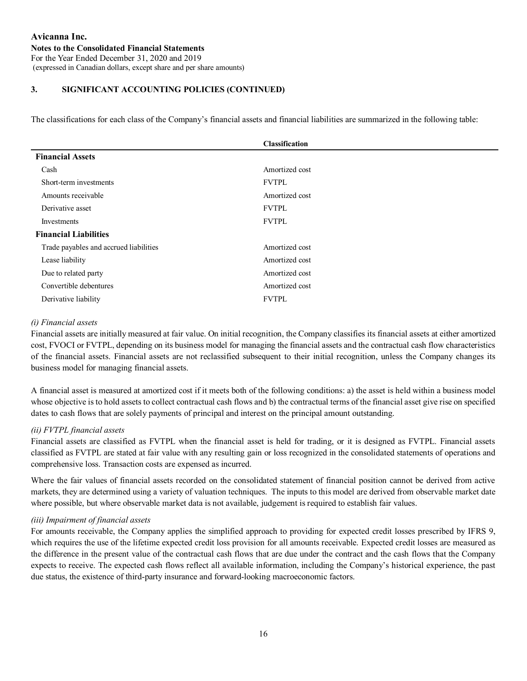The classifications for each class of the Company's financial assets and financial liabilities are summarized in the following table:

|                                        | <b>Classification</b> |  |
|----------------------------------------|-----------------------|--|
| <b>Financial Assets</b>                |                       |  |
| Cash                                   | Amortized cost        |  |
| Short-term investments                 | <b>FVTPL</b>          |  |
| Amounts receivable                     | Amortized cost        |  |
| Derivative asset                       | <b>FVTPL</b>          |  |
| Investments                            | <b>FVTPL</b>          |  |
| <b>Financial Liabilities</b>           |                       |  |
| Trade payables and accrued liabilities | Amortized cost        |  |
| Lease liability                        | Amortized cost        |  |
| Due to related party                   | Amortized cost        |  |
| Convertible debentures                 | Amortized cost        |  |
| Derivative liability                   | <b>FVTPL</b>          |  |
|                                        |                       |  |

#### *(i) Financial assets*

Financial assets are initially measured at fair value. On initial recognition, the Company classifies its financial assets at either amortized cost, FVOCI or FVTPL, depending on its business model for managing the financial assets and the contractual cash flow characteristics of the financial assets. Financial assets are not reclassified subsequent to their initial recognition, unless the Company changes its business model for managing financial assets.

A financial asset is measured at amortized cost if it meets both of the following conditions: a) the asset is held within a business model whose objective is to hold assets to collect contractual cash flows and b) the contractual terms of the financial asset give rise on specified dates to cash flows that are solely payments of principal and interest on the principal amount outstanding.

## *(ii) FVTPL financial assets*

Financial assets are classified as FVTPL when the financial asset is held for trading, or it is designed as FVTPL. Financial assets classified as FVTPL are stated at fair value with any resulting gain or loss recognized in the consolidated statements of operations and comprehensive loss. Transaction costs are expensed as incurred.

Where the fair values of financial assets recorded on the consolidated statement of financial position cannot be derived from active markets, they are determined using a variety of valuation techniques. The inputs to this model are derived from observable market date where possible, but where observable market data is not available, judgement is required to establish fair values.

## *(iii) Impairment of financial assets*

For amounts receivable, the Company applies the simplified approach to providing for expected credit losses prescribed by IFRS 9, which requires the use of the lifetime expected credit loss provision for all amounts receivable. Expected credit losses are measured as the difference in the present value of the contractual cash flows that are due under the contract and the cash flows that the Company expects to receive. The expected cash flows reflect all available information, including the Company's historical experience, the past due status, the existence of third-party insurance and forward-looking macroeconomic factors.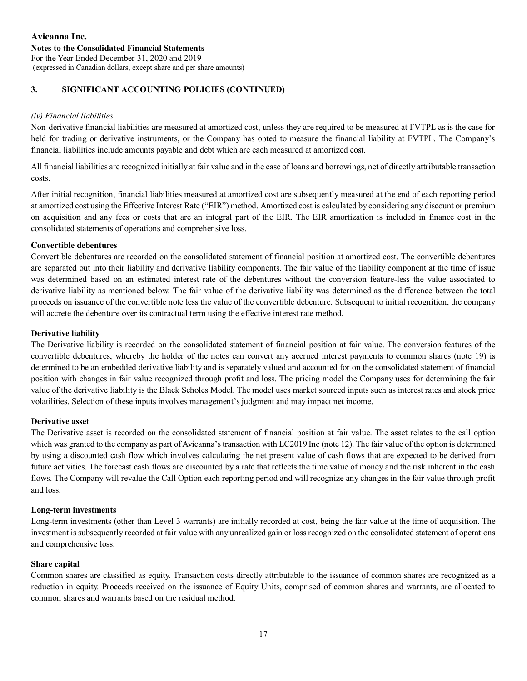### *(iv) Financial liabilities*

Non-derivative financial liabilities are measured at amortized cost, unless they are required to be measured at FVTPL as is the case for held for trading or derivative instruments, or the Company has opted to measure the financial liability at FVTPL. The Company's financial liabilities include amounts payable and debt which are each measured at amortized cost.

All financial liabilities are recognized initially at fair value and in the case of loans and borrowings, net of directly attributable transaction costs.

After initial recognition, financial liabilities measured at amortized cost are subsequently measured at the end of each reporting period at amortized cost using the Effective Interest Rate ("EIR") method. Amortized cost is calculated by considering any discount or premium on acquisition and any fees or costs that are an integral part of the EIR. The EIR amortization is included in finance cost in the consolidated statements of operations and comprehensive loss.

#### **Convertible debentures**

Convertible debentures are recorded on the consolidated statement of financial position at amortized cost. The convertible debentures are separated out into their liability and derivative liability components. The fair value of the liability component at the time of issue was determined based on an estimated interest rate of the debentures without the conversion feature-less the value associated to derivative liability as mentioned below. The fair value of the derivative liability was determined as the difference between the total proceeds on issuance of the convertible note less the value of the convertible debenture. Subsequent to initial recognition, the company will accrete the debenture over its contractual term using the effective interest rate method.

#### **Derivative liability**

The Derivative liability is recorded on the consolidated statement of financial position at fair value. The conversion features of the convertible debentures, whereby the holder of the notes can convert any accrued interest payments to common shares (note 19) is determined to be an embedded derivative liability and is separately valued and accounted for on the consolidated statement of financial position with changes in fair value recognized through profit and loss. The pricing model the Company uses for determining the fair value of the derivative liability is the Black Scholes Model. The model uses market sourced inputs such as interest rates and stock price volatilities. Selection of these inputs involves management's judgment and may impact net income.

## **Derivative asset**

The Derivative asset is recorded on the consolidated statement of financial position at fair value. The asset relates to the call option which was granted to the company as part of Avicanna's transaction with LC2019 Inc (note 12). The fair value of the option is determined by using a discounted cash flow which involves calculating the net present value of cash flows that are expected to be derived from future activities. The forecast cash flows are discounted by a rate that reflects the time value of money and the risk inherent in the cash flows. The Company will revalue the Call Option each reporting period and will recognize any changes in the fair value through profit and loss.

## **Long-term investments**

Long-term investments (other than Level 3 warrants) are initially recorded at cost, being the fair value at the time of acquisition. The investment is subsequently recorded at fair value with any unrealized gain or loss recognized on the consolidated statement of operations and comprehensive loss.

#### **Share capital**

Common shares are classified as equity. Transaction costs directly attributable to the issuance of common shares are recognized as a reduction in equity. Proceeds received on the issuance of Equity Units, comprised of common shares and warrants, are allocated to common shares and warrants based on the residual method.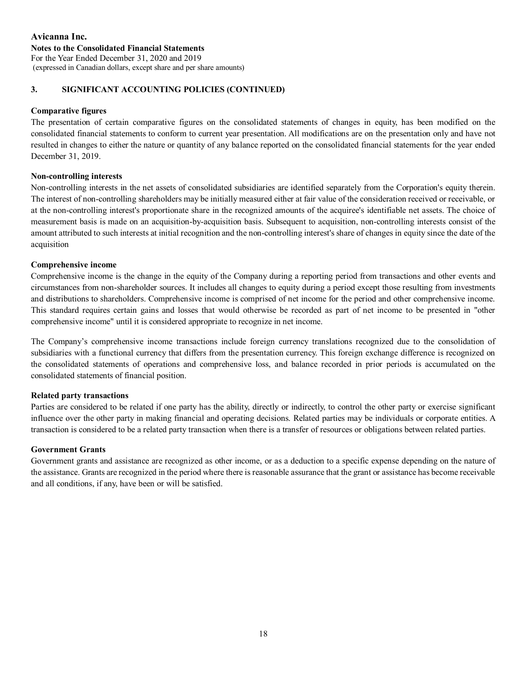## **Comparative figures**

The presentation of certain comparative figures on the consolidated statements of changes in equity, has been modified on the consolidated financial statements to conform to current year presentation. All modifications are on the presentation only and have not resulted in changes to either the nature or quantity of any balance reported on the consolidated financial statements for the year ended December 31, 2019.

#### **Non-controlling interests**

Non-controlling interests in the net assets of consolidated subsidiaries are identified separately from the Corporation's equity therein. The interest of non-controlling shareholders may be initially measured either at fair value of the consideration received or receivable, or at the non-controlling interest's proportionate share in the recognized amounts of the acquiree's identifiable net assets. The choice of measurement basis is made on an acquisition-by-acquisition basis. Subsequent to acquisition, non-controlling interests consist of the amount attributed to such interests at initial recognition and the non-controlling interest's share of changes in equity since the date of the acquisition

#### **Comprehensive income**

Comprehensive income is the change in the equity of the Company during a reporting period from transactions and other events and circumstances from non-shareholder sources. It includes all changes to equity during a period except those resulting from investments and distributions to shareholders. Comprehensive income is comprised of net income for the period and other comprehensive income. This standard requires certain gains and losses that would otherwise be recorded as part of net income to be presented in "other comprehensive income" until it is considered appropriate to recognize in net income.

The Company's comprehensive income transactions include foreign currency translations recognized due to the consolidation of subsidiaries with a functional currency that differs from the presentation currency. This foreign exchange difference is recognized on the consolidated statements of operations and comprehensive loss, and balance recorded in prior periods is accumulated on the consolidated statements of financial position.

#### **Related party transactions**

Parties are considered to be related if one party has the ability, directly or indirectly, to control the other party or exercise significant influence over the other party in making financial and operating decisions. Related parties may be individuals or corporate entities. A transaction is considered to be a related party transaction when there is a transfer of resources or obligations between related parties.

#### **Government Grants**

Government grants and assistance are recognized as other income, or as a deduction to a specific expense depending on the nature of the assistance. Grants are recognized in the period where there is reasonable assurance that the grant or assistance has become receivable and all conditions, if any, have been or will be satisfied.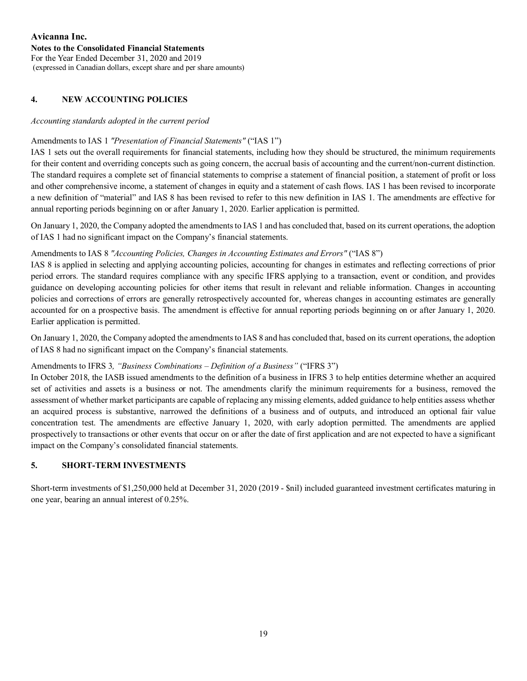### **Avicanna Inc. Notes to the Consolidated Financial Statements** For the Year Ended December 31, 2020 and 2019 (expressed in Canadian dollars, except share and per share amounts)

# **4. NEW ACCOUNTING POLICIES**

## *Accounting standards adopted in the current period*

## Amendments to IAS 1 *"Presentation of Financial Statements"* ("IAS 1")

IAS 1 sets out the overall requirements for financial statements, including how they should be structured, the minimum requirements for their content and overriding concepts such as going concern, the accrual basis of accounting and the current/non-current distinction. The standard requires a complete set of financial statements to comprise a statement of financial position, a statement of profit or loss and other comprehensive income, a statement of changes in equity and a statement of cash flows. IAS 1 has been revised to incorporate a new definition of "material" and IAS 8 has been revised to refer to this new definition in IAS 1. The amendments are effective for annual reporting periods beginning on or after January 1, 2020. Earlier application is permitted.

On January 1, 2020, the Company adopted the amendments to IAS 1 and has concluded that, based on its current operations, the adoption of IAS 1 had no significant impact on the Company's financial statements.

## Amendments to IAS 8 *"Accounting Policies, Changes in Accounting Estimates and Errors"* ("IAS 8")

IAS 8 is applied in selecting and applying accounting policies, accounting for changes in estimates and reflecting corrections of prior period errors. The standard requires compliance with any specific IFRS applying to a transaction, event or condition, and provides guidance on developing accounting policies for other items that result in relevant and reliable information. Changes in accounting policies and corrections of errors are generally retrospectively accounted for, whereas changes in accounting estimates are generally accounted for on a prospective basis. The amendment is effective for annual reporting periods beginning on or after January 1, 2020. Earlier application is permitted.

On January 1, 2020, the Company adopted the amendments to IAS 8 and has concluded that, based on its current operations, the adoption of IAS 8 had no significant impact on the Company's financial statements.

## Amendments to IFRS 3*, "Business Combinations – Definition of a Business"* ("IFRS 3")

In October 2018, the IASB issued amendments to the definition of a business in IFRS 3 to help entities determine whether an acquired set of activities and assets is a business or not. The amendments clarify the minimum requirements for a business, removed the assessment of whether market participants are capable of replacing any missing elements, added guidance to help entities assess whether an acquired process is substantive, narrowed the definitions of a business and of outputs, and introduced an optional fair value concentration test. The amendments are effective January 1, 2020, with early adoption permitted. The amendments are applied prospectively to transactions or other events that occur on or after the date of first application and are not expected to have a significant impact on the Company's consolidated financial statements.

## **5. SHORT-TERM INVESTMENTS**

Short-term investments of \$1,250,000 held at December 31, 2020 (2019 - \$nil) included guaranteed investment certificates maturing in one year, bearing an annual interest of 0.25%.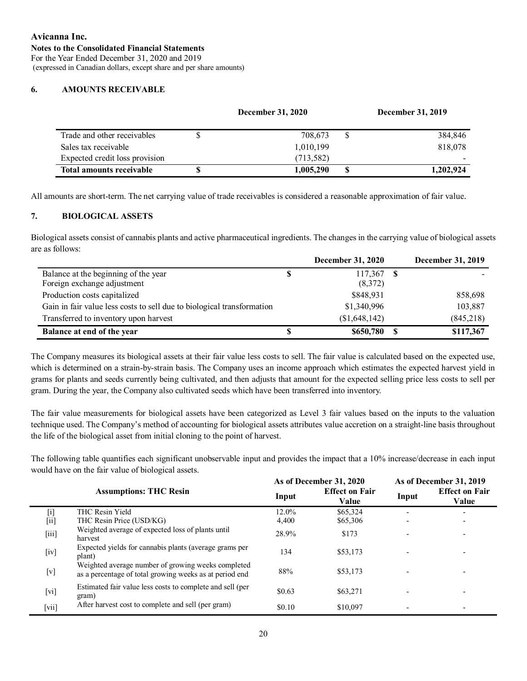# **Avicanna Inc. Notes to the Consolidated Financial Statements** For the Year Ended December 31, 2020 and 2019

(expressed in Canadian dollars, except share and per share amounts)

## **6. AMOUNTS RECEIVABLE**

|                                 | <b>December 31, 2020</b> | <b>December 31, 2019</b> |           |
|---------------------------------|--------------------------|--------------------------|-----------|
| Trade and other receivables     | 708,673                  |                          | 384,846   |
| Sales tax receivable            | 1,010,199                |                          | 818,078   |
| Expected credit loss provision  | (713, 582)               |                          |           |
| <b>Total amounts receivable</b> | 1,005,290                | \$                       | 1,202,924 |

All amounts are short-term. The net carrying value of trade receivables is considered a reasonable approximation of fair value.

## **7. BIOLOGICAL ASSETS**

Biological assets consist of cannabis plants and active pharmaceutical ingredients. The changes in the carrying value of biological assets are as follows:

|                                                                        | <b>December 31, 2020</b> | <b>December 31, 2019</b> |
|------------------------------------------------------------------------|--------------------------|--------------------------|
| Balance at the beginning of the year                                   | $117,367$ \$             |                          |
| Foreign exchange adjustment                                            | (8,372)                  |                          |
| Production costs capitalized                                           | \$848,931                | 858,698                  |
| Gain in fair value less costs to sell due to biological transformation | \$1,340,996              | 103,887                  |
| Transferred to inventory upon harvest                                  | (\$1,648,142)            | (845,218)                |
| Balance at end of the year                                             | \$650,780                | \$117,367                |

The Company measures its biological assets at their fair value less costs to sell. The fair value is calculated based on the expected use, which is determined on a strain-by-strain basis. The Company uses an income approach which estimates the expected harvest yield in grams for plants and seeds currently being cultivated, and then adjusts that amount for the expected selling price less costs to sell per gram. During the year, the Company also cultivated seeds which have been transferred into inventory.

The fair value measurements for biological assets have been categorized as Level 3 fair values based on the inputs to the valuation technique used. The Company's method of accounting for biological assets attributes value accretion on a straight-line basis throughout the life of the biological asset from initial cloning to the point of harvest.

The following table quantifies each significant unobservable input and provides the impact that a 10% increase/decrease in each input would have on the fair value of biological assets.

|       |                                                                                                               |        | As of December 31, 2020        |       | As of December 31, 2019        |
|-------|---------------------------------------------------------------------------------------------------------------|--------|--------------------------------|-------|--------------------------------|
|       | <b>Assumptions: THC Resin</b>                                                                                 | Input  | <b>Effect on Fair</b><br>Value | Input | <b>Effect on Fair</b><br>Value |
| $[$   | THC Resin Yield                                                                                               | 12.0%  | \$65,324                       |       |                                |
| [11]  | THC Resin Price (USD/KG)                                                                                      | 4,400  | \$65,306                       |       |                                |
| [iii] | Weighted average of expected loss of plants until<br>harvest                                                  | 28.9%  | \$173                          |       |                                |
| [iv]  | Expected yields for cannabis plants (average grams per<br>plant)                                              | 134    | \$53,173                       |       |                                |
| [v]   | Weighted average number of growing weeks completed<br>as a percentage of total growing weeks as at period end | 88%    | \$53,173                       |       |                                |
| [vi]  | Estimated fair value less costs to complete and sell (per<br>gram)                                            | \$0.63 | \$63,271                       |       |                                |
| [vii] | After harvest cost to complete and sell (per gram)                                                            | \$0.10 | \$10,097                       |       | $\overline{\phantom{0}}$       |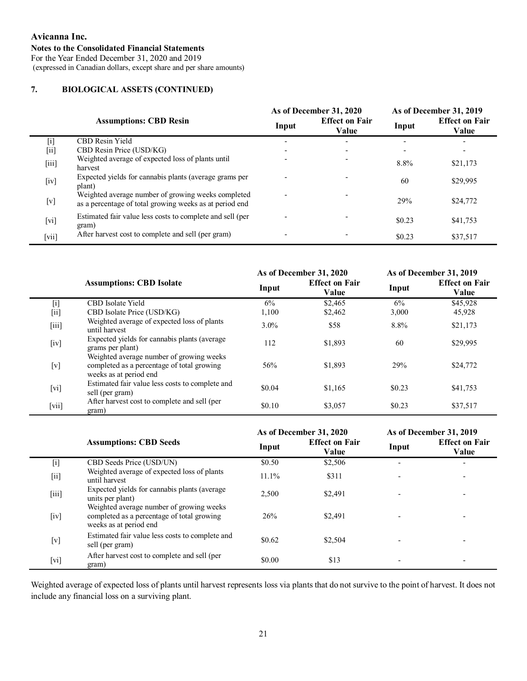## **Avicanna Inc.**

Ĭ.

**Notes to the Consolidated Financial Statements**

For the Year Ended December 31, 2020 and 2019

(expressed in Canadian dollars, except share and per share amounts)

# **7. BIOLOGICAL ASSETS (CONTINUED)**

|         |                                                                                                               |       | As of December 31, 2020        |        | As of December 31, 2019        |
|---------|---------------------------------------------------------------------------------------------------------------|-------|--------------------------------|--------|--------------------------------|
|         | <b>Assumptions: CBD Resin</b>                                                                                 | Input | <b>Effect on Fair</b><br>Value | Input  | <b>Effect on Fair</b><br>Value |
| [i]     | CBD Resin Yield                                                                                               |       |                                |        | $\overline{\phantom{0}}$       |
| [1]     | CBD Resin Price (USD/KG)                                                                                      |       |                                |        |                                |
| [iii]   | Weighted average of expected loss of plants until<br>harvest                                                  |       |                                | 8.8%   | \$21,173                       |
| [iv]    | Expected yields for cannabis plants (average grams per<br>plant)                                              |       |                                | 60     | \$29,995                       |
| [v]     | Weighted average number of growing weeks completed<br>as a percentage of total growing weeks as at period end |       |                                | 29%    | \$24,772                       |
| $[v_i]$ | Estimated fair value less costs to complete and sell (per<br>gram)                                            |       |                                | \$0.23 | \$41,753                       |
| [vii]   | After harvest cost to complete and sell (per gram)                                                            |       |                                | \$0.23 | \$37,517                       |

|       |                                                                                                                  |         | As of December 31, 2020        |        | As of December 31, 2019        |
|-------|------------------------------------------------------------------------------------------------------------------|---------|--------------------------------|--------|--------------------------------|
|       | <b>Assumptions: CBD Isolate</b>                                                                                  | Input   | <b>Effect on Fair</b><br>Value | Input  | <b>Effect on Fair</b><br>Value |
| $[$   | CBD Isolate Yield                                                                                                | 6%      | \$2,465                        | 6%     | \$45,928                       |
| [ii]  | CBD Isolate Price (USD/KG)                                                                                       | 1,100   | \$2,462                        | 3,000  | 45,928                         |
| [iii] | Weighted average of expected loss of plants<br>until harvest                                                     | $3.0\%$ | \$58                           | 8.8%   | \$21,173                       |
| [iv]  | Expected yields for cannabis plants (average)<br>grams per plant)                                                | 112     | \$1,893                        | 60     | \$29,995                       |
| [v]   | Weighted average number of growing weeks<br>completed as a percentage of total growing<br>weeks as at period end | 56%     | \$1,893                        | 29%    | \$24,772                       |
| [vi]  | Estimated fair value less costs to complete and<br>sell (per gram)                                               | \$0.04  | \$1,165                        | \$0.23 | \$41,753                       |
| [vii] | After harvest cost to complete and sell (per<br>gram)                                                            | \$0.10  | \$3,057                        | \$0.23 | \$37,517                       |

|        |                                                                                                                  |        | As of December 31, 2020        |       | As of December 31, 2019        |
|--------|------------------------------------------------------------------------------------------------------------------|--------|--------------------------------|-------|--------------------------------|
|        | <b>Assumptions: CBD Seeds</b>                                                                                    | Input  | <b>Effect on Fair</b><br>Value | Input | <b>Effect on Fair</b><br>Value |
| $[$    | CBD Seeds Price (USD/UN)                                                                                         | \$0.50 | \$2,506                        |       | $\overline{\phantom{a}}$       |
| $[11]$ | Weighted average of expected loss of plants<br>until harvest                                                     | 11.1%  | \$311                          |       | $\overline{\phantom{0}}$       |
| [iii]  | Expected yields for cannabis plants (average)<br>units per plant)                                                | 2,500  | \$2,491                        |       |                                |
| [iv]   | Weighted average number of growing weeks<br>completed as a percentage of total growing<br>weeks as at period end | 26%    | \$2,491                        |       | $\overline{\phantom{a}}$       |
| [v]    | Estimated fair value less costs to complete and<br>sell (per gram)                                               | \$0.62 | \$2,504                        |       |                                |
| [vi]   | After harvest cost to complete and sell (per<br>gram)                                                            | \$0.00 | \$13                           |       | $\overline{\phantom{a}}$       |

Weighted average of expected loss of plants until harvest represents loss via plants that do not survive to the point of harvest. It does not include any financial loss on a surviving plant.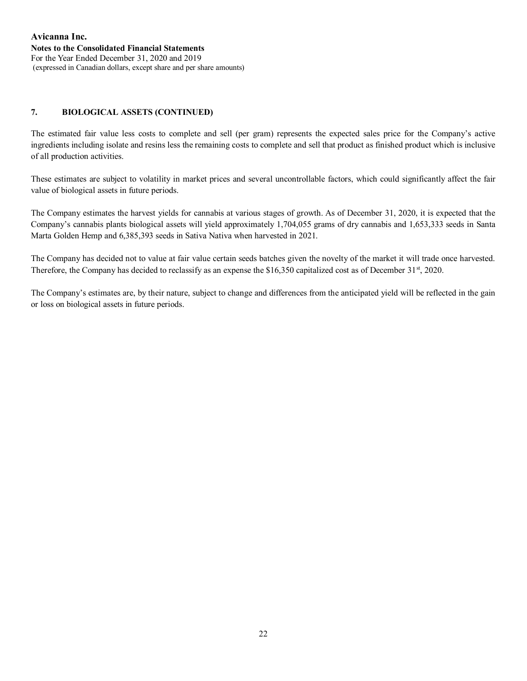**Avicanna Inc. Notes to the Consolidated Financial Statements** For the Year Ended December 31, 2020 and 2019 (expressed in Canadian dollars, except share and per share amounts)

## **7. BIOLOGICAL ASSETS (CONTINUED)**

The estimated fair value less costs to complete and sell (per gram) represents the expected sales price for the Company's active ingredients including isolate and resins less the remaining costs to complete and sell that product as finished product which is inclusive of all production activities.

These estimates are subject to volatility in market prices and several uncontrollable factors, which could significantly affect the fair value of biological assets in future periods.

The Company estimates the harvest yields for cannabis at various stages of growth. As of December 31, 2020, it is expected that the Company's cannabis plants biological assets will yield approximately 1,704,055 grams of dry cannabis and 1,653,333 seeds in Santa Marta Golden Hemp and 6,385,393 seeds in Sativa Nativa when harvested in 2021.

The Company has decided not to value at fair value certain seeds batches given the novelty of the market it will trade once harvested. Therefore, the Company has decided to reclassify as an expense the \$16,350 capitalized cost as of December  $31<sup>st</sup>$ , 2020.

The Company's estimates are, by their nature, subject to change and differences from the anticipated yield will be reflected in the gain or loss on biological assets in future periods.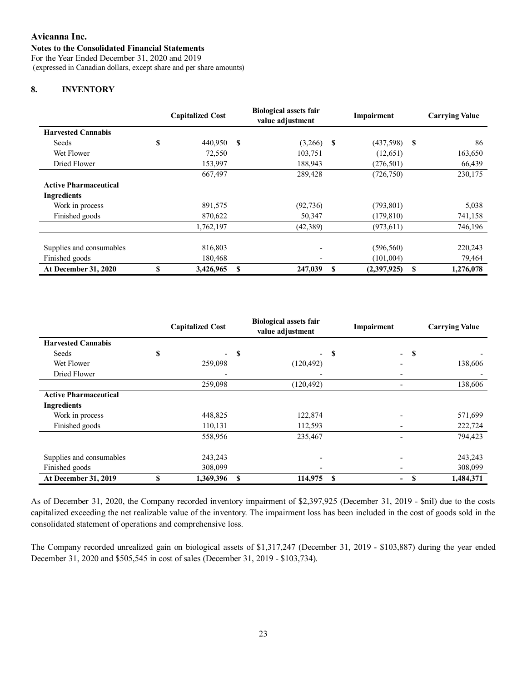## **Avicanna Inc.**

## **Notes to the Consolidated Financial Statements**

For the Year Ended December 31, 2020 and 2019

(expressed in Canadian dollars, except share and per share amounts)

## **8. INVENTORY**

|                              |    | <b>Capitalized Cost</b> | <b>Biological assets fair</b><br>value adjustment |           |          | Impairment  |    | <b>Carrying Value</b> |
|------------------------------|----|-------------------------|---------------------------------------------------|-----------|----------|-------------|----|-----------------------|
| <b>Harvested Cannabis</b>    |    |                         |                                                   |           |          |             |    |                       |
| Seeds                        | \$ | 440.950                 | S                                                 | (3,266)   | <b>S</b> | (437,598)   | S  | 86                    |
| Wet Flower                   |    | 72,550                  |                                                   | 103,751   |          | (12,651)    |    | 163,650               |
| Dried Flower                 |    | 153.997                 |                                                   | 188,943   |          | (276, 501)  |    | 66,439                |
|                              |    | 667,497                 |                                                   | 289,428   |          | (726, 750)  |    | 230,175               |
| <b>Active Pharmaceutical</b> |    |                         |                                                   |           |          |             |    |                       |
| <b>Ingredients</b>           |    |                         |                                                   |           |          |             |    |                       |
| Work in process              |    | 891,575                 |                                                   | (92, 736) |          | (793, 801)  |    | 5,038                 |
| Finished goods               |    | 870,622                 |                                                   | 50,347    |          | (179, 810)  |    | 741,158               |
|                              |    | 1,762,197               |                                                   | (42, 389) |          | (973, 611)  |    | 746,196               |
|                              |    |                         |                                                   |           |          |             |    |                       |
| Supplies and consumables     |    | 816,803                 |                                                   |           |          | (596, 560)  |    | 220,243               |
| Finished goods               |    | 180,468                 |                                                   |           |          | (101,004)   |    | 79,464                |
| At December 31, 2020         | S  | 3,426,965               | S                                                 | 247,039   | S        | (2,397,925) | \$ | 1,276,078             |

|                              | <b>Capitalized Cost</b>        |   | <b>Biological assets fair</b><br>value adjustment |          | Impairment               | <b>Carrying Value</b> |
|------------------------------|--------------------------------|---|---------------------------------------------------|----------|--------------------------|-----------------------|
| <b>Harvested Cannabis</b>    |                                |   |                                                   |          |                          |                       |
| Seeds                        | \$<br>$\overline{\phantom{0}}$ | S |                                                   | S        | -S<br>$\sim$             |                       |
| Wet Flower                   | 259,098                        |   | (120, 492)                                        |          |                          | 138,606               |
| Dried Flower                 |                                |   |                                                   |          |                          |                       |
|                              | 259,098                        |   | (120, 492)                                        |          | $\overline{\phantom{a}}$ | 138,606               |
| <b>Active Pharmaceutical</b> |                                |   |                                                   |          |                          |                       |
| <b>Ingredients</b>           |                                |   |                                                   |          |                          |                       |
| Work in process              | 448,825                        |   | 122,874                                           |          |                          | 571,699               |
| Finished goods               | 110,131                        |   | 112,593                                           |          | $\overline{\phantom{a}}$ | 222,724               |
|                              | 558,956                        |   | 235,467                                           |          |                          | 794,423               |
|                              |                                |   |                                                   |          |                          |                       |
| Supplies and consumables     | 243,243                        |   |                                                   |          |                          | 243,243               |
| Finished goods               | 308,099                        |   |                                                   |          |                          | 308,099               |
| <b>At December 31, 2019</b>  | \$<br>1,369,396                | S | 114,975                                           | <b>S</b> | S<br>٠                   | 1,484,371             |

As of December 31, 2020, the Company recorded inventory impairment of \$2,397,925 (December 31, 2019 - \$nil) due to the costs capitalized exceeding the net realizable value of the inventory. The impairment loss has been included in the cost of goods sold in the consolidated statement of operations and comprehensive loss.

The Company recorded unrealized gain on biological assets of \$1,317,247 (December 31, 2019 - \$103,887) during the year ended December 31, 2020 and \$505,545 in cost of sales (December 31, 2019 - \$103,734).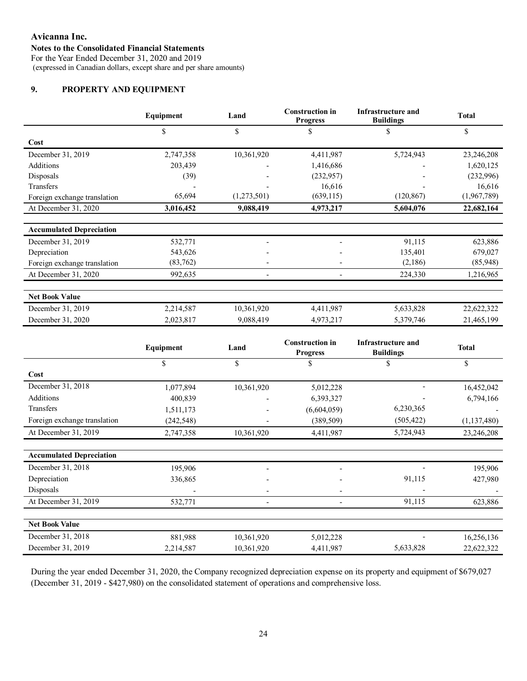# **Avicanna Inc.**

**Notes to the Consolidated Financial Statements**

For the Year Ended December 31, 2020 and 2019

(expressed in Canadian dollars, except share and per share amounts)

# **9. PROPERTY AND EQUIPMENT**

|                                 | Equipment  | Land                    | <b>Construction in</b><br><b>Progress</b> | <b>Infrastructure and</b><br><b>Buildings</b> | <b>Total</b>            |
|---------------------------------|------------|-------------------------|-------------------------------------------|-----------------------------------------------|-------------------------|
|                                 | \$         | \$                      | \$                                        | \$                                            | \$                      |
| Cost                            |            |                         |                                           |                                               |                         |
| December 31, 2019               | 2,747,358  | 10,361,920              | 4,411,987                                 | 5,724,943                                     | 23,246,208              |
| Additions                       | 203,439    |                         | 1,416,686                                 |                                               | 1,620,125               |
| Disposals                       | (39)       |                         | (232,957)                                 |                                               | (232,996)               |
| Transfers                       |            |                         | 16,616                                    |                                               | 16,616                  |
| Foreign exchange translation    | 65,694     | (1,273,501)             | (639, 115)                                | (120, 867)                                    | (1,967,789)             |
| At December 31, 2020            | 3,016,452  | 9,088,419               | 4,973,217                                 | 5,604,076                                     | 22,682,164              |
|                                 |            |                         |                                           |                                               |                         |
| <b>Accumulated Depreciation</b> |            |                         |                                           |                                               |                         |
| December 31, 2019               | 532,771    | L,                      | $\overline{\phantom{a}}$                  | 91,115                                        | 623,886                 |
| Depreciation                    | 543,626    |                         |                                           | 135,401                                       | 679,027                 |
| Foreign exchange translation    | (83, 762)  |                         |                                           | (2,186)                                       | (85,948)                |
| At December 31, 2020            | 992,635    | $\overline{a}$          | $\overline{a}$                            | 224,330                                       | 1,216,965               |
|                                 |            |                         |                                           |                                               |                         |
| <b>Net Book Value</b>           |            |                         |                                           |                                               |                         |
| December 31, 2019               | 2,214,587  | 10,361,920              | 4,411,987                                 | 5,633,828                                     | 22,622,322              |
| December 31, 2020               | 2,023,817  | 9,088,419               | 4,973,217                                 | 5,379,746                                     | 21,465,199              |
|                                 |            |                         |                                           |                                               |                         |
|                                 |            |                         |                                           |                                               |                         |
|                                 | Equipment  | Land                    | <b>Construction in</b><br><b>Progress</b> | <b>Infrastructure and</b><br><b>Buildings</b> | <b>Total</b>            |
|                                 | \$         | $\overline{\mathbb{S}}$ | \$                                        | \$                                            | $\overline{\mathbb{S}}$ |
| Cost                            |            |                         |                                           |                                               |                         |
| December 31, 2018               | 1,077,894  | 10,361,920              | 5,012,228                                 | $\overline{\phantom{0}}$                      | 16,452,042              |
| Additions                       | 400,839    |                         | 6,393,327                                 |                                               | 6,794,166               |
| Transfers                       | 1,511,173  |                         | (6,604,059)                               | 6,230,365                                     |                         |
| Foreign exchange translation    | (242, 548) |                         | (389, 509)                                | (505, 422)                                    | (1,137,480)             |
| At December 31, 2019            | 2,747,358  | 10,361,920              | 4,411,987                                 | 5,724,943                                     | 23,246,208              |
|                                 |            |                         |                                           |                                               |                         |
| <b>Accumulated Depreciation</b> |            |                         |                                           |                                               |                         |
| December 31, 2018               |            |                         | L,                                        | $\blacksquare$                                |                         |
| Depreciation                    | 195,906    |                         |                                           | 91,115                                        | 195,906                 |
| Disposals                       | 336,865    |                         |                                           |                                               | 427,980                 |
| At December 31, 2019            |            |                         | $\overline{a}$                            | 91,115                                        |                         |
|                                 | 532,771    |                         |                                           |                                               | 623,886                 |
| <b>Net Book Value</b>           |            |                         |                                           |                                               |                         |
| December 31, 2018               | 881,988    | 10,361,920              | 5,012,228                                 |                                               | 16,256,136              |

During the year ended December 31, 2020, the Company recognized depreciation expense on its property and equipment of \$679,027 (December 31, 2019 - \$427,980) on the consolidated statement of operations and comprehensive loss.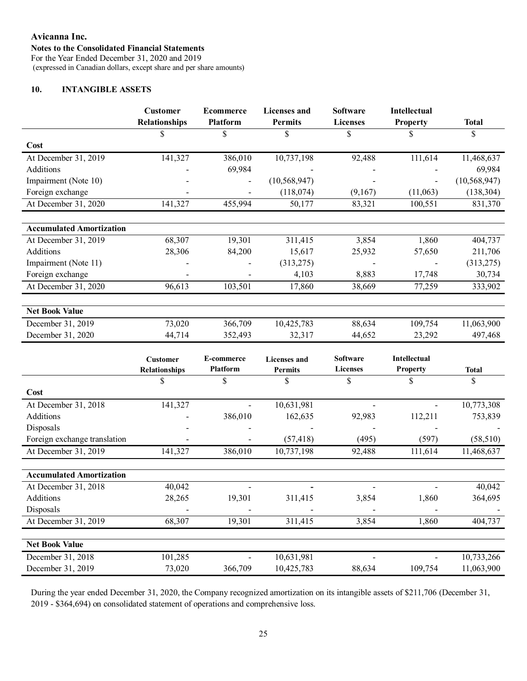## **Avicanna Inc. Notes to the Consolidated Financial Statements**

For the Year Ended December 31, 2020 and 2019

(expressed in Canadian dollars, except share and per share amounts)

# **10. INTANGIBLE ASSETS**

|                                 | <b>Customer</b><br><b>Relationships</b> | <b>Ecommerce</b><br>Platform | <b>Licenses</b> and<br><b>Permits</b> | <b>Software</b><br><b>Licenses</b> | <b>Intellectual</b><br><b>Property</b> | <b>Total</b>   |
|---------------------------------|-----------------------------------------|------------------------------|---------------------------------------|------------------------------------|----------------------------------------|----------------|
|                                 | \$                                      | \$                           | \$                                    | \$                                 | S                                      | \$             |
| Cost                            |                                         |                              |                                       |                                    |                                        |                |
| At December 31, 2019            | 141,327                                 | 386,010                      | 10,737,198                            | 92,488                             | 111,614                                | 11,468,637     |
| Additions                       |                                         | 69,984                       |                                       |                                    |                                        | 69,984         |
| Impairment (Note 10)            |                                         |                              | (10, 568, 947)                        |                                    |                                        | (10, 568, 947) |
| Foreign exchange                |                                         |                              | (118,074)                             | (9,167)                            | (11,063)                               | (138, 304)     |
| At December 31, 2020            | 141,327                                 | 455,994                      | 50,177                                | 83,321                             | 100,551                                | 831,370        |
|                                 |                                         |                              |                                       |                                    |                                        |                |
| <b>Accumulated Amortization</b> |                                         |                              |                                       |                                    |                                        |                |
| At December 31, 2019            | 68,307                                  | 19,301                       | 311,415                               | 3,854                              | 1,860                                  | 404,737        |
| Additions                       | 28,306                                  | 84,200                       | 15,617                                | 25,932                             | 57,650                                 | 211,706        |
| Impairment (Note 11)            |                                         |                              | (313, 275)                            |                                    |                                        | (313,275)      |
| Foreign exchange                |                                         |                              | 4,103                                 | 8,883                              | 17,748                                 | 30,734         |
| At December 31, 2020            | 96,613                                  | 103,501                      | 17,860                                | 38,669                             | 77,259                                 | 333,902        |
| <b>Net Book Value</b>           |                                         |                              |                                       |                                    |                                        |                |
| December 31, 2019               | 73,020                                  | 366,709                      | 10,425,783                            | 88,634                             | 109,754                                | 11,063,900     |
| December 31, 2020               | 44,714                                  | 352,493                      | 32,317                                | 44,652                             | 23,292                                 | 497,468        |
|                                 |                                         |                              |                                       |                                    |                                        |                |
|                                 | <b>Customer</b>                         | E-commerce                   | <b>Licenses</b> and                   | <b>Software</b>                    | <b>Intellectual</b>                    |                |
|                                 | <b>Relationships</b>                    | Platform                     | <b>Permits</b>                        | <b>Licenses</b>                    | <b>Property</b>                        | <b>Total</b>   |
|                                 | \$                                      | \$                           | \$                                    | \$                                 | \$                                     | \$             |
| Cost                            |                                         |                              |                                       |                                    |                                        |                |
| At December 31, 2018            | 141,327                                 | $\overline{\phantom{a}}$     | 10,631,981                            |                                    |                                        | 10,773,308     |
| Additions                       |                                         | 386,010                      | 162,635                               | 92,983                             | 112,211                                | 753,839        |
| Disposals                       |                                         |                              |                                       |                                    |                                        |                |
| Foreign exchange translation    |                                         |                              | (57, 418)                             | (495)                              | (597)                                  | (58, 510)      |
| At December 31, 2019            | 141,327                                 | 386,010                      | 10,737,198                            | 92,488                             | 111,614                                | 11,468,637     |
|                                 |                                         |                              |                                       |                                    |                                        |                |
| <b>Accumulated Amortization</b> |                                         |                              |                                       |                                    |                                        |                |
| At December 31, 2018            | 40,042                                  |                              |                                       |                                    |                                        | 40,042         |
| Additions                       | 28,265                                  | 19,301                       | 311,415                               | 3,854                              | 1,860                                  | 364,695        |
| Disposals                       |                                         |                              |                                       |                                    |                                        |                |
| At December 31, 2019            | 68,307                                  | 19,301                       | 311,415                               | 3,854                              | 1,860                                  | 404,737        |
| <b>Net Book Value</b>           |                                         |                              |                                       |                                    |                                        |                |
| December 31, 2018               | 101,285                                 |                              | 10,631,981                            |                                    |                                        | 10,733,266     |
| December 31, 2019               | 73,020                                  | 366,709                      | 10,425,783                            | 88,634                             | 109,754                                | 11,063,900     |

During the year ended December 31, 2020, the Company recognized amortization on its intangible assets of \$211,706 (December 31, 2019 - \$364,694) on consolidated statement of operations and comprehensive loss.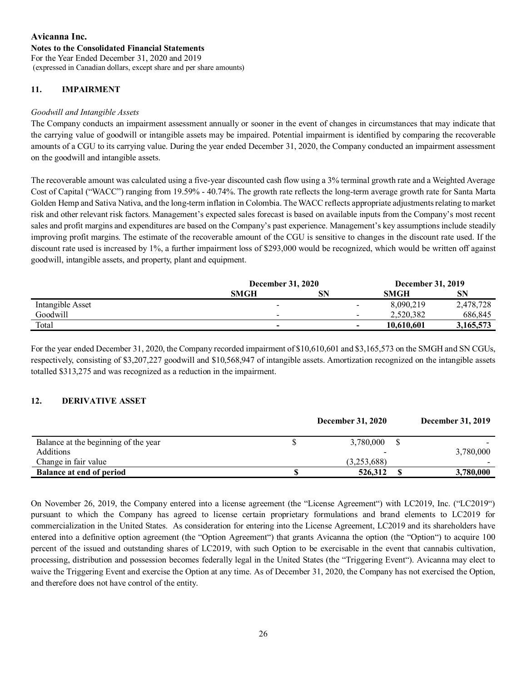## **Avicanna Inc. Notes to the Consolidated Financial Statements** For the Year Ended December 31, 2020 and 2019

(expressed in Canadian dollars, except share and per share amounts)

## **11. IMPAIRMENT**

### *Goodwill and Intangible Assets*

The Company conducts an impairment assessment annually or sooner in the event of changes in circumstances that may indicate that the carrying value of goodwill or intangible assets may be impaired. Potential impairment is identified by comparing the recoverable amounts of a CGU to its carrying value. During the year ended December 31, 2020, the Company conducted an impairment assessment on the goodwill and intangible assets.

The recoverable amount was calculated using a five-year discounted cash flow using a 3% terminal growth rate and a Weighted Average Cost of Capital ("WACC") ranging from 19.59% - 40.74%. The growth rate reflects the long-term average growth rate for Santa Marta Golden Hemp and Sativa Nativa, and the long-term inflation in Colombia. The WACC reflects appropriate adjustments relating to market risk and other relevant risk factors. Management's expected sales forecast is based on available inputs from the Company's most recent sales and profit margins and expenditures are based on the Company's past experience. Management's key assumptions include steadily improving profit margins. The estimate of the recoverable amount of the CGU is sensitive to changes in the discount rate used. If the discount rate used is increased by 1%, a further impairment loss of \$293,000 would be recognized, which would be written off against goodwill, intangible assets, and property, plant and equipment.

|                  | <b>December 31, 2020</b> |           |                          | <b>December 31, 2019</b> |           |  |
|------------------|--------------------------|-----------|--------------------------|--------------------------|-----------|--|
|                  | SMGH                     | <b>SN</b> |                          | <b>SMGH</b>              | <b>SN</b> |  |
| Intangible Asset | -                        |           | $\overline{\phantom{0}}$ | 8,090,219                | 2,478,728 |  |
| Goodwill         | $\overline{\phantom{0}}$ |           | $\overline{\phantom{a}}$ | 2.520.382                | 686,845   |  |
| Total            | $\overline{\phantom{0}}$ |           | $\overline{\phantom{a}}$ | 10.610.601               | 3,165,573 |  |

For the year ended December 31, 2020, the Company recorded impairment of \$10,610,601 and \$3,165,573 on the SMGH and SN CGUs, respectively, consisting of \$3,207,227 goodwill and \$10,568,947 of intangible assets. Amortization recognized on the intangible assets totalled \$313,275 and was recognized as a reduction in the impairment.

## **12. DERIVATIVE ASSET**

|                                      | <b>December 31, 2020</b> | <b>December 31, 2019</b> |
|--------------------------------------|--------------------------|--------------------------|
| Balance at the beginning of the year | 3,780,000                |                          |
| <b>Additions</b>                     |                          | 3,780,000                |
| Change in fair value                 | (3,253,688)              |                          |
| <b>Balance at end of period</b>      | 526,312                  | 3,780,000                |

On November 26, 2019, the Company entered into a license agreement (the "License Agreement") with LC2019, Inc. ("LC2019") pursuant to which the Company has agreed to license certain proprietary formulations and brand elements to LC2019 for commercialization in the United States. As consideration for entering into the License Agreement, LC2019 and its shareholders have entered into a definitive option agreement (the "Option Agreement") that grants Avicanna the option (the "Option") to acquire 100 percent of the issued and outstanding shares of LC2019, with such Option to be exercisable in the event that cannabis cultivation, processing, distribution and possession becomes federally legal in the United States (the "Triggering Event"). Avicanna may elect to waive the Triggering Event and exercise the Option at any time. As of December 31, 2020, the Company has not exercised the Option, and therefore does not have control of the entity.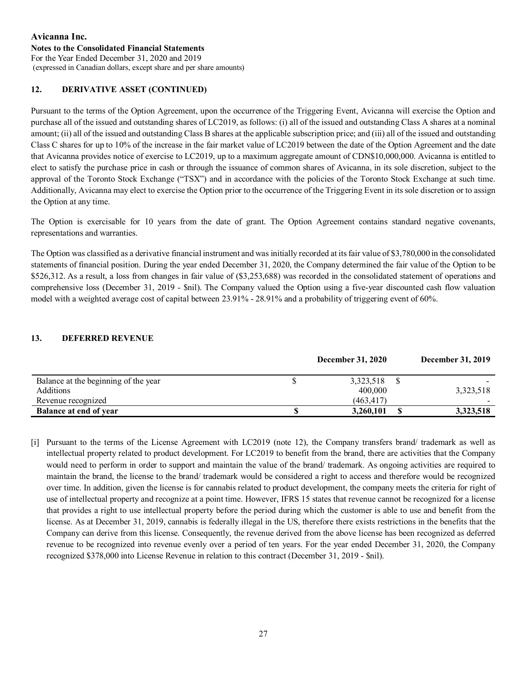## **12. DERIVATIVE ASSET (CONTINUED)**

Pursuant to the terms of the Option Agreement, upon the occurrence of the Triggering Event, Avicanna will exercise the Option and purchase all of the issued and outstanding shares of LC2019, as follows: (i) all of the issued and outstanding Class A shares at a nominal amount; (ii) all of the issued and outstanding Class B shares at the applicable subscription price; and (iii) all of the issued and outstanding Class C shares for up to 10% of the increase in the fair market value of LC2019 between the date of the Option Agreement and the date that Avicanna provides notice of exercise to LC2019, up to a maximum aggregate amount of CDN\$10,000,000. Avicanna is entitled to elect to satisfy the purchase price in cash or through the issuance of common shares of Avicanna, in its sole discretion, subject to the approval of the Toronto Stock Exchange ("TSX") and in accordance with the policies of the Toronto Stock Exchange at such time. Additionally, Avicanna may elect to exercise the Option prior to the occurrence of the Triggering Event in its sole discretion or to assign the Option at any time.

The Option is exercisable for 10 years from the date of grant. The Option Agreement contains standard negative covenants, representations and warranties.

The Option was classified as a derivative financial instrument and was initially recorded at its fair value of \$3,780,000 in the consolidated statements of financial position. During the year ended December 31, 2020, the Company determined the fair value of the Option to be \$526,312. As a result, a loss from changes in fair value of (\$3,253,688) was recorded in the consolidated statement of operations and comprehensive loss (December 31, 2019 - \$nil). The Company valued the Option using a five-year discounted cash flow valuation model with a weighted average cost of capital between 23.91% - 28.91% and a probability of triggering event of 60%.

#### **13. DEFERRED REVENUE**

|                                      | <b>December 31, 2020</b> | <b>December 31, 2019</b> |
|--------------------------------------|--------------------------|--------------------------|
| Balance at the beginning of the year | 3,323,518                |                          |
| Additions                            | 400,000                  | 3,323,518                |
| Revenue recognized                   | (463, 417)               |                          |
| <b>Balance at end of year</b>        | 3,260,101                | 3,323,518                |

[i] Pursuant to the terms of the License Agreement with LC2019 (note 12), the Company transfers brand/ trademark as well as intellectual property related to product development. For LC2019 to benefit from the brand, there are activities that the Company would need to perform in order to support and maintain the value of the brand/ trademark. As ongoing activities are required to maintain the brand, the license to the brand/ trademark would be considered a right to access and therefore would be recognized over time. In addition, given the license is for cannabis related to product development, the company meets the criteria for right of use of intellectual property and recognize at a point time. However, IFRS 15 states that revenue cannot be recognized for a license that provides a right to use intellectual property before the period during which the customer is able to use and benefit from the license. As at December 31, 2019, cannabis is federally illegal in the US, therefore there exists restrictions in the benefits that the Company can derive from this license. Consequently, the revenue derived from the above license has been recognized as deferred revenue to be recognized into revenue evenly over a period of ten years. For the year ended December 31, 2020, the Company recognized \$378,000 into License Revenue in relation to this contract (December 31, 2019 - \$nil).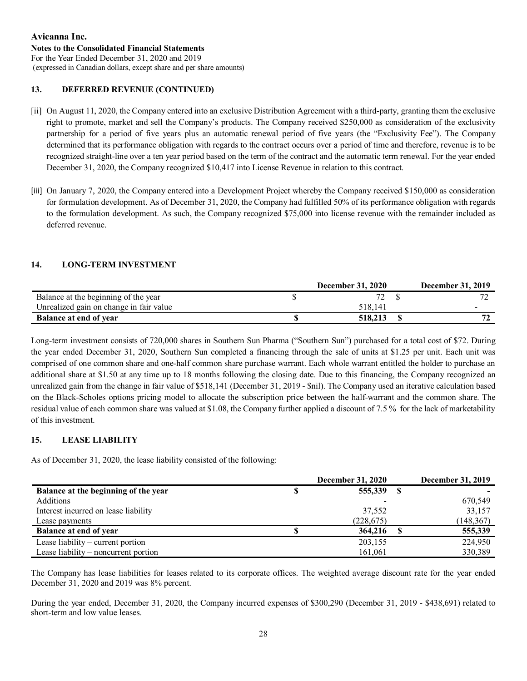## **13. DEFERRED REVENUE (CONTINUED)**

- [ii] On August 11, 2020, the Company entered into an exclusive Distribution Agreement with a third-party, granting them the exclusive right to promote, market and sell the Company's products. The Company received \$250,000 as consideration of the exclusivity partnership for a period of five years plus an automatic renewal period of five years (the "Exclusivity Fee"). The Company determined that its performance obligation with regards to the contract occurs over a period of time and therefore, revenue is to be recognized straight-line over a ten year period based on the term of the contract and the automatic term renewal. For the year ended December 31, 2020, the Company recognized \$10,417 into License Revenue in relation to this contract.
- [iii] On January 7, 2020, the Company entered into a Development Project whereby the Company received \$150,000 as consideration for formulation development. As of December 31, 2020, the Company had fulfilled 50% of its performance obligation with regards to the formulation development. As such, the Company recognized \$75,000 into license revenue with the remainder included as deferred revenue.

# **14. LONG-TERM INVESTMENT**

|                                         | <b>December 31, 2020</b> | <b>December 31, 2019</b> |
|-----------------------------------------|--------------------------|--------------------------|
| Balance at the beginning of the year    |                          |                          |
| Unrealized gain on change in fair value | 518,141                  |                          |
| <b>Balance at end of year</b>           | 518,213                  |                          |

Long-term investment consists of 720,000 shares in Southern Sun Pharma ("Southern Sun") purchased for a total cost of \$72. During the year ended December 31, 2020, Southern Sun completed a financing through the sale of units at \$1.25 per unit. Each unit was comprised of one common share and one-half common share purchase warrant. Each whole warrant entitled the holder to purchase an additional share at \$1.50 at any time up to 18 months following the closing date. Due to this financing, the Company recognized an unrealized gain from the change in fair value of \$518,141 (December 31, 2019 - \$nil). The Company used an iterative calculation based on the Black-Scholes options pricing model to allocate the subscription price between the half-warrant and the common share. The residual value of each common share was valued at \$1.08, the Company further applied a discount of 7.5 % for the lack of marketability of this investment.

# **15. LEASE LIABILITY**

As of December 31, 2020, the lease liability consisted of the following:

|                                      |   | <b>December 31, 2020</b> | <b>December 31, 2019</b> |
|--------------------------------------|---|--------------------------|--------------------------|
| Balance at the beginning of the year | J | 555,339                  |                          |
| Additions                            |   |                          | 670,549                  |
| Interest incurred on lease liability |   | 37,552                   | 33,157                   |
| Lease payments                       |   | (228, 675)               | (148, 367)               |
| <b>Balance at end of year</b>        |   | 364,216                  | 555,339                  |
| Lease liability – current portion    |   | 203,155                  | 224,950                  |
| Lease liability – noncurrent portion |   | 161,061                  | 330,389                  |

The Company has lease liabilities for leases related to its corporate offices. The weighted average discount rate for the year ended December 31, 2020 and 2019 was 8% percent.

During the year ended, December 31, 2020, the Company incurred expenses of \$300,290 (December 31, 2019 - \$438,691) related to short-term and low value leases.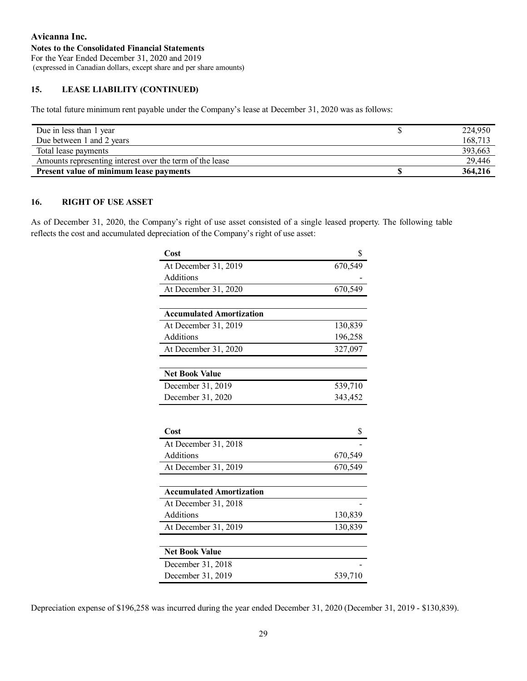## **15. LEASE LIABILITY (CONTINUED)**

The total future minimum rent payable under the Company's lease at December 31, 2020 was as follows:

| Due in less than 1 year                                  | 224,950 |
|----------------------------------------------------------|---------|
| Due between 1 and 2 years                                | 168,713 |
| Total lease payments                                     | 393,663 |
| Amounts representing interest over the term of the lease | 29,446  |
| <b>Present value of minimum lease payments</b>           | 364,216 |

#### **16. RIGHT OF USE ASSET**

As of December 31, 2020, the Company's right of use asset consisted of a single leased property. The following table reflects the cost and accumulated depreciation of the Company's right of use asset:

| Cost                            | \$      |
|---------------------------------|---------|
| At December 31, 2019            | 670,549 |
| Additions                       |         |
| At December 31, 2020            | 670,549 |
|                                 |         |
| <b>Accumulated Amortization</b> |         |
| At December 31, 2019            | 130,839 |
| Additions                       | 196,258 |
| At December 31, 2020            | 327,097 |
|                                 |         |
| <b>Net Book Value</b>           |         |
| December 31, 2019               | 539,710 |
| December 31, 2020               | 343,452 |
|                                 |         |
|                                 |         |
| Cost                            | \$      |
| At December 31, 2018            |         |
| Additions                       | 670,549 |
| At December 31, 2019            | 670,549 |
|                                 |         |
| <b>Accumulated Amortization</b> |         |
| At December 31, 2018            |         |
| Additions                       | 130,839 |
| At December 31, 2019            | 130,839 |
|                                 |         |
| <b>Net Book Value</b>           |         |
| December 31, 2018               |         |
| December 31, 2019               | 539,710 |

Depreciation expense of \$196,258 was incurred during the year ended December 31, 2020 (December 31, 2019 - \$130,839).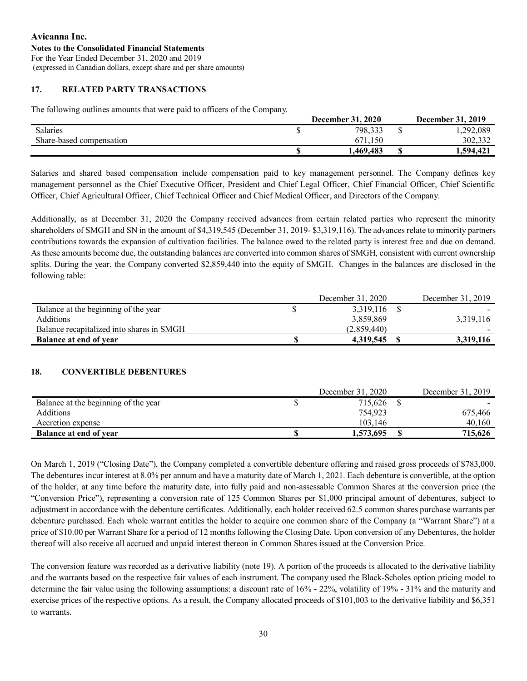## **17. RELATED PARTY TRANSACTIONS**

The following outlines amounts that were paid to officers of the Company.

|                          | <b>December 31, 2020</b> | <b>December 31, 2019</b> |
|--------------------------|--------------------------|--------------------------|
| <b>Salaries</b>          | 798.333                  | ,292,089                 |
| Share-based compensation | 671.150                  | 302,332                  |
|                          | 1.469.483                | 1,594,421                |

Salaries and shared based compensation include compensation paid to key management personnel. The Company defines key management personnel as the Chief Executive Officer, President and Chief Legal Officer, Chief Financial Officer, Chief Scientific Officer, Chief Agricultural Officer, Chief Technical Officer and Chief Medical Officer, and Directors of the Company.

Additionally, as at December 31, 2020 the Company received advances from certain related parties who represent the minority shareholders of SMGH and SN in the amount of \$4,319,545 (December 31, 2019- \$3,319,116). The advances relate to minority partners contributions towards the expansion of cultivation facilities. The balance owed to the related party is interest free and due on demand. As these amounts become due, the outstanding balances are converted into common shares of SMGH, consistent with current ownership splits. During the year, the Company converted \$2,859,440 into the equity of SMGH. Changes in the balances are disclosed in the following table:

|                                           | December 31, 2020 | December 31, 2019        |
|-------------------------------------------|-------------------|--------------------------|
| Balance at the beginning of the year      | 3.319.116         |                          |
| <b>Additions</b>                          | 3,859,869         | 3,319,116                |
| Balance recapitalized into shares in SMGH | (2.859.440)       | $\overline{\phantom{a}}$ |
| <b>Balance at end of year</b>             | 4.319.545         | 3,319,116                |

# **18. CONVERTIBLE DEBENTURES**

|                                      | December 31, 2020 | December 31, 2019        |
|--------------------------------------|-------------------|--------------------------|
| Balance at the beginning of the year | 715,626           | $\overline{\phantom{0}}$ |
| <b>Additions</b>                     | 754,923           | 675,466                  |
| Accretion expense                    | 103.146           | 40,160                   |
| <b>Balance at end of year</b>        | 1,573,695         | 715,626                  |

On March 1, 2019 ("Closing Date"), the Company completed a convertible debenture offering and raised gross proceeds of \$783,000. The debentures incur interest at 8.0% per annum and have a maturity date of March 1, 2021. Each debenture is convertible, at the option of the holder, at any time before the maturity date, into fully paid and non-assessable Common Shares at the conversion price (the "Conversion Price"), representing a conversion rate of 125 Common Shares per \$1,000 principal amount of debentures, subject to adjustment in accordance with the debenture certificates. Additionally, each holder received 62.5 common shares purchase warrants per debenture purchased. Each whole warrant entitles the holder to acquire one common share of the Company (a "Warrant Share") at a price of \$10.00 per Warrant Share for a period of 12 months following the Closing Date. Upon conversion of any Debentures, the holder thereof will also receive all accrued and unpaid interest thereon in Common Shares issued at the Conversion Price.

The conversion feature was recorded as a derivative liability (note 19). A portion of the proceeds is allocated to the derivative liability and the warrants based on the respective fair values of each instrument. The company used the Black-Scholes option pricing model to determine the fair value using the following assumptions: a discount rate of 16% - 22%, volatility of 19% - 31% and the maturity and exercise prices of the respective options. As a result, the Company allocated proceeds of \$101,003 to the derivative liability and \$6,351 to warrants.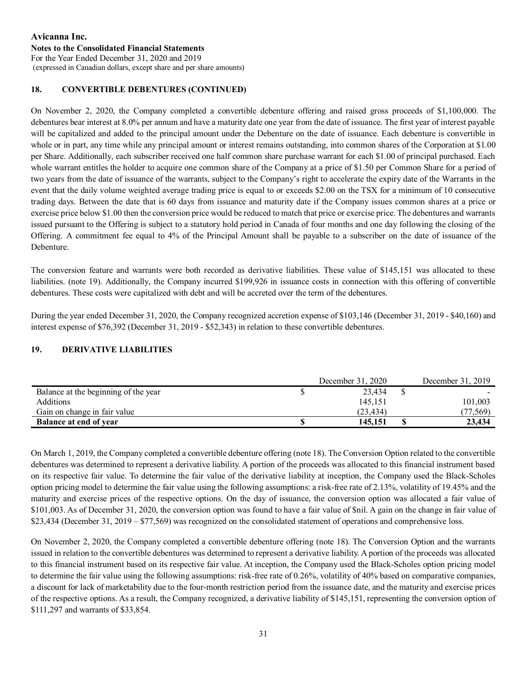# **18. CONVERTIBLE DEBENTURES (CONTINUED)**

On November 2, 2020, the Company completed a convertible debenture offering and raised gross proceeds of \$1,100,000. The debentures bear interest at 8.0% per annum and have a maturity date one year from the date of issuance. The first year of interest payable will be capitalized and added to the principal amount under the Debenture on the date of issuance. Each debenture is convertible in whole or in part, any time while any principal amount or interest remains outstanding, into common shares of the Corporation at \$1.00 per Share. Additionally, each subscriber received one half common share purchase warrant for each \$1.00 of principal purchased. Each whole warrant entitles the holder to acquire one common share of the Company at a price of \$1.50 per Common Share for a period of two years from the date of issuance of the warrants, subject to the Company's right to accelerate the expiry date of the Warrants in the event that the daily volume weighted average trading price is equal to or exceeds \$2.00 on the TSX for a minimum of 10 consecutive trading days. Between the date that is 60 days from issuance and maturity date if the Company issues common shares at a price or exercise price below \$1.00 then the conversion price would be reduced to match that price or exercise price. The debentures and warrants issued pursuant to the Offering is subject to a statutory hold period in Canada of four months and one day following the closing of the Offering. A commitment fee equal to 4% of the Principal Amount shall be payable to a subscriber on the date of issuance of the Debenture.

The conversion feature and warrants were both recorded as derivative liabilities. These value of \$145,151 was allocated to these liabilities. (note 19). Additionally, the Company incurred \$199,926 in issuance costs in connection with this offering of convertible debentures. These costs were capitalized with debt and will be accreted over the term of the debentures.

During the year ended December 31, 2020, the Company recognized accretion expense of \$103,146 (December 31, 2019 - \$40,160) and interest expense of \$76,392 (December 31, 2019 - \$52,343) in relation to these convertible debentures.

# **19. DERIVATIVE LIABILITIES**

|                                      | December 31, 2020 |    | December 31, 2019 |
|--------------------------------------|-------------------|----|-------------------|
| Balance at the beginning of the year | 23.434            |    |                   |
| <b>Additions</b>                     | 145.151           |    | 101,003           |
| Gain on change in fair value         | (23.434)          |    | (77, 569)         |
| <b>Balance at end of year</b>        | 145,151           | ۱D | 23,434            |

On March 1, 2019, the Company completed a convertible debenture offering (note 18). The Conversion Option related to the convertible debentures was determined to represent a derivative liability. A portion of the proceeds was allocated to this financial instrument based on its respective fair value. To determine the fair value of the derivative liability at inception, the Company used the Black-Scholes option pricing model to determine the fair value using the following assumptions: a risk-free rate of 2.13%, volatility of 19.45% and the maturity and exercise prices of the respective options. On the day of issuance, the conversion option was allocated a fair value of \$101,003. As of December 31, 2020, the conversion option was found to have a fair value of \$nil. A gain on the change in fair value of \$23,434 (December 31, 2019 – \$77,569) was recognized on the consolidated statement of operations and comprehensive loss.

On November 2, 2020, the Company completed a convertible debenture offering (note 18). The Conversion Option and the warrants issued in relation to the convertible debentures was determined to represent a derivative liability. A portion of the proceeds was allocated to this financial instrument based on its respective fair value. At inception, the Company used the Black-Scholes option pricing model to determine the fair value using the following assumptions: risk-free rate of 0.26%, volatility of 40% based on comparative companies, a discount for lack of marketability due to the four-month restriction period from the issuance date, and the maturity and exercise prices of the respective options. As a result, the Company recognized, a derivative liability of \$145,151, representing the conversion option of \$111,297 and warrants of \$33,854.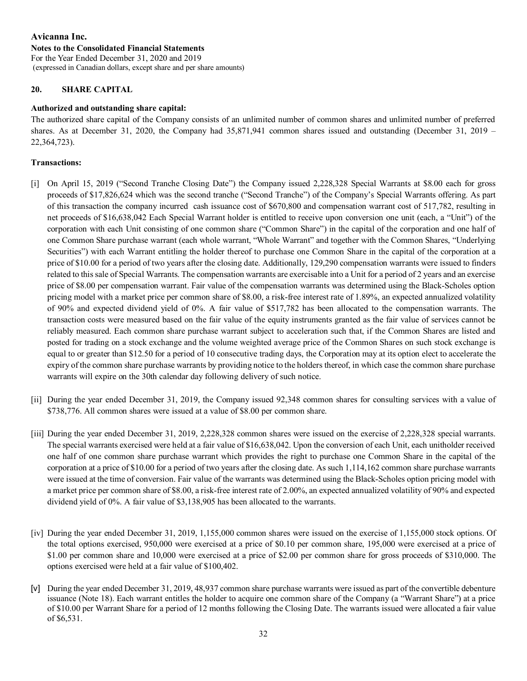#### **Avicanna Inc. Notes to the Consolidated Financial Statements** For the Year Ended December 31, 2020 and 2019 (expressed in Canadian dollars, except share and per share amounts)

## **20. SHARE CAPITAL**

#### **Authorized and outstanding share capital:**

The authorized share capital of the Company consists of an unlimited number of common shares and unlimited number of preferred shares. As at December 31, 2020, the Company had 35,871,941 common shares issued and outstanding (December 31, 2019 – 22,364,723).

#### **Transactions:**

- [i] On April 15, 2019 ("Second Tranche Closing Date") the Company issued 2,228,328 Special Warrants at \$8.00 each for gross proceeds of \$17,826,624 which was the second tranche ("Second Tranche") of the Company's Special Warrants offering. As part of this transaction the company incurred cash issuance cost of \$670,800 and compensation warrant cost of 517,782, resulting in net proceeds of \$16,638,042 Each Special Warrant holder is entitled to receive upon conversion one unit (each, a "Unit") of the corporation with each Unit consisting of one common share ("Common Share") in the capital of the corporation and one half of one Common Share purchase warrant (each whole warrant, "Whole Warrant" and together with the Common Shares, "Underlying Securities") with each Warrant entitling the holder thereof to purchase one Common Share in the capital of the corporation at a price of \$10.00 for a period of two years after the closing date. Additionally, 129,290 compensation warrants were issued to finders related to this sale of Special Warrants. The compensation warrants are exercisable into a Unit for a period of 2 years and an exercise price of \$8.00 per compensation warrant. Fair value of the compensation warrants was determined using the Black-Scholes option pricing model with a market price per common share of \$8.00, a risk-free interest rate of 1.89%, an expected annualized volatility of 90% and expected dividend yield of 0%. A fair value of \$517,782 has been allocated to the compensation warrants. The transaction costs were measured based on the fair value of the equity instruments granted as the fair value of services cannot be reliably measured. Each common share purchase warrant subject to acceleration such that, if the Common Shares are listed and posted for trading on a stock exchange and the volume weighted average price of the Common Shares on such stock exchange is equal to or greater than \$12.50 for a period of 10 consecutive trading days, the Corporation may at its option elect to accelerate the expiry of the common share purchase warrants by providing notice to the holders thereof, in which case the common share purchase warrants will expire on the 30th calendar day following delivery of such notice.
- [ii] During the year ended December 31, 2019, the Company issued 92,348 common shares for consulting services with a value of \$738,776. All common shares were issued at a value of \$8.00 per common share.
- [iii] During the year ended December 31, 2019, 2,228,328 common shares were issued on the exercise of 2,228,328 special warrants. The special warrants exercised were held at a fair value of \$16,638,042. Upon the conversion of each Unit, each unitholder received one half of one common share purchase warrant which provides the right to purchase one Common Share in the capital of the corporation at a price of \$10.00 for a period of two years after the closing date. As such 1,114,162 common share purchase warrants were issued at the time of conversion. Fair value of the warrants was determined using the Black-Scholes option pricing model with a market price per common share of \$8.00, a risk-free interest rate of 2.00%, an expected annualized volatility of 90% and expected dividend yield of 0%. A fair value of \$3,138,905 has been allocated to the warrants.
- [iv] During the year ended December 31, 2019, 1,155,000 common shares were issued on the exercise of 1,155,000 stock options. Of the total options exercised, 950,000 were exercised at a price of \$0.10 per common share, 195,000 were exercised at a price of \$1.00 per common share and 10,000 were exercised at a price of \$2.00 per common share for gross proceeds of \$310,000. The options exercised were held at a fair value of \$100,402.
- [v] During the year ended December 31, 2019, 48,937 common share purchase warrants were issued as part of the convertible debenture issuance (Note 18). Each warrant entitles the holder to acquire one common share of the Company (a "Warrant Share") at a price of \$10.00 per Warrant Share for a period of 12 months following the Closing Date. The warrants issued were allocated a fair value of \$6,531.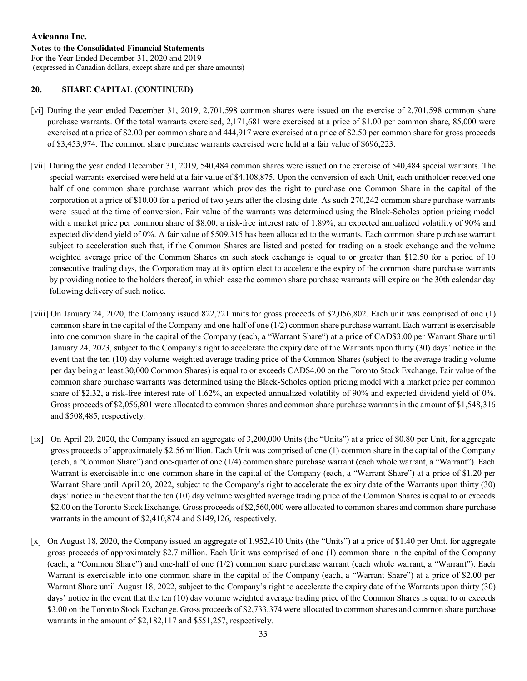## **20. SHARE CAPITAL (CONTINUED)**

- [vi] During the year ended December 31, 2019, 2,701,598 common shares were issued on the exercise of 2,701,598 common share purchase warrants. Of the total warrants exercised, 2,171,681 were exercised at a price of \$1.00 per common share, 85,000 were exercised at a price of \$2.00 per common share and 444,917 were exercised at a price of \$2.50 per common share for gross proceeds of \$3,453,974. The common share purchase warrants exercised were held at a fair value of \$696,223.
- [vii] During the year ended December 31, 2019, 540,484 common shares were issued on the exercise of 540,484 special warrants. The special warrants exercised were held at a fair value of \$4,108,875. Upon the conversion of each Unit, each unitholder received one half of one common share purchase warrant which provides the right to purchase one Common Share in the capital of the corporation at a price of \$10.00 for a period of two years after the closing date. As such 270,242 common share purchase warrants were issued at the time of conversion. Fair value of the warrants was determined using the Black-Scholes option pricing model with a market price per common share of \$8.00, a risk-free interest rate of 1.89%, an expected annualized volatility of 90% and expected dividend yield of 0%. A fair value of \$509,315 has been allocated to the warrants. Each common share purchase warrant subject to acceleration such that, if the Common Shares are listed and posted for trading on a stock exchange and the volume weighted average price of the Common Shares on such stock exchange is equal to or greater than \$12.50 for a period of 10 consecutive trading days, the Corporation may at its option elect to accelerate the expiry of the common share purchase warrants by providing notice to the holders thereof, in which case the common share purchase warrants will expire on the 30th calendar day following delivery of such notice.
- [viii] On January 24, 2020, the Company issued 822,721 units for gross proceeds of \$2,056,802. Each unit was comprised of one (1) common share in the capital of the Company and one-half of one (1/2) common share purchase warrant. Each warrant is exercisable into one common share in the capital of the Company (each, a "Warrant Share") at a price of CAD\$3.00 per Warrant Share until January 24, 2023, subject to the Company's right to accelerate the expiry date of the Warrants upon thirty (30) days' notice in the event that the ten (10) day volume weighted average trading price of the Common Shares (subject to the average trading volume per day being at least 30,000 Common Shares) is equal to or exceeds CAD\$4.00 on the Toronto Stock Exchange. Fair value of the common share purchase warrants was determined using the Black-Scholes option pricing model with a market price per common share of \$2.32, a risk-free interest rate of 1.62%, an expected annualized volatility of 90% and expected dividend yield of 0%. Gross proceeds of \$2,056,801 were allocated to common shares and common share purchase warrants in the amount of \$1,548,316 and \$508,485, respectively.
- [ix] On April 20, 2020, the Company issued an aggregate of 3,200,000 Units (the "Units") at a price of \$0.80 per Unit, for aggregate gross proceeds of approximately \$2.56 million. Each Unit was comprised of one (1) common share in the capital of the Company (each, a "Common Share") and one-quarter of one (1/4) common share purchase warrant (each whole warrant, a "Warrant"). Each Warrant is exercisable into one common share in the capital of the Company (each, a "Warrant Share") at a price of \$1.20 per Warrant Share until April 20, 2022, subject to the Company's right to accelerate the expiry date of the Warrants upon thirty (30) days' notice in the event that the ten (10) day volume weighted average trading price of the Common Shares is equal to or exceeds \$2.00 on the Toronto Stock Exchange. Gross proceeds of \$2,560,000 were allocated to common shares and common share purchase warrants in the amount of \$2,410,874 and \$149,126, respectively.
- [x] On August 18, 2020, the Company issued an aggregate of 1,952,410 Units (the "Units") at a price of \$1.40 per Unit, for aggregate gross proceeds of approximately \$2.7 million. Each Unit was comprised of one (1) common share in the capital of the Company (each, a "Common Share") and one-half of one (1/2) common share purchase warrant (each whole warrant, a "Warrant"). Each Warrant is exercisable into one common share in the capital of the Company (each, a "Warrant Share") at a price of \$2.00 per Warrant Share until August 18, 2022, subject to the Company's right to accelerate the expiry date of the Warrants upon thirty (30) days' notice in the event that the ten (10) day volume weighted average trading price of the Common Shares is equal to or exceeds \$3.00 on the Toronto Stock Exchange. Gross proceeds of \$2,733,374 were allocated to common shares and common share purchase warrants in the amount of \$2,182,117 and \$551,257, respectively.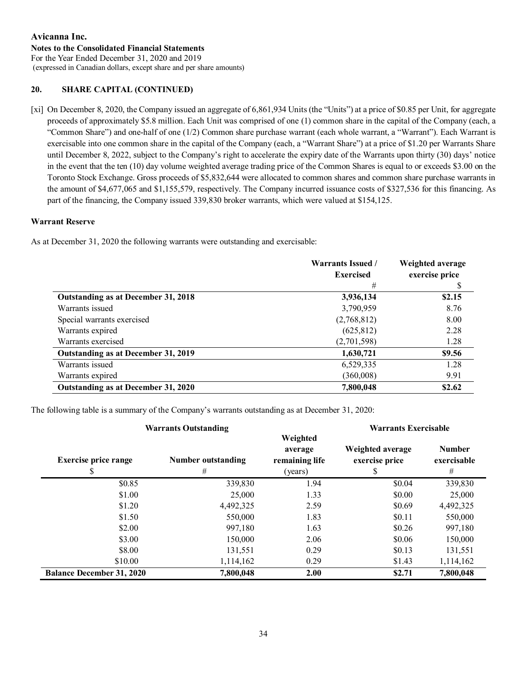## **20. SHARE CAPITAL (CONTINUED)**

[xi] On December 8, 2020, the Company issued an aggregate of 6,861,934 Units (the "Units") at a price of \$0.85 per Unit, for aggregate proceeds of approximately \$5.8 million. Each Unit was comprised of one (1) common share in the capital of the Company (each, a "Common Share") and one-half of one (1/2) Common share purchase warrant (each whole warrant, a "Warrant"). Each Warrant is exercisable into one common share in the capital of the Company (each, a "Warrant Share") at a price of \$1.20 per Warrants Share until December 8, 2022, subject to the Company's right to accelerate the expiry date of the Warrants upon thirty (30) days' notice in the event that the ten (10) day volume weighted average trading price of the Common Shares is equal to or exceeds \$3.00 on the Toronto Stock Exchange. Gross proceeds of \$5,832,644 were allocated to common shares and common share purchase warrants in the amount of \$4,677,065 and \$1,155,579, respectively. The Company incurred issuance costs of \$327,536 for this financing. As part of the financing, the Company issued 339,830 broker warrants, which were valued at \$154,125.

#### **Warrant Reserve**

As at December 31, 2020 the following warrants were outstanding and exercisable:

|                                     | <b>Warrants Issued /</b><br><b>Exercised</b> | Weighted average<br>exercise price |
|-------------------------------------|----------------------------------------------|------------------------------------|
|                                     | #                                            | S                                  |
| Outstanding as at December 31, 2018 | 3,936,134                                    | \$2.15                             |
| Warrants issued                     | 3,790,959                                    | 8.76                               |
| Special warrants exercised          | (2,768,812)                                  | 8.00                               |
| Warrants expired                    | (625, 812)                                   | 2.28                               |
| Warrants exercised                  | (2,701,598)                                  | 1.28                               |
| Outstanding as at December 31, 2019 | 1,630,721                                    | \$9.56                             |
| Warrants issued                     | 6,529,335                                    | 1.28                               |
| Warrants expired                    | (360,008)                                    | 9.91                               |
| Outstanding as at December 31, 2020 | 7,800,048                                    | \$2.62                             |

The following table is a summary of the Company's warrants outstanding as at December 31, 2020:

|                                  | <b>Warrants Outstanding</b> |                                       |                                    | <b>Warrants Exercisable</b>  |  |  |
|----------------------------------|-----------------------------|---------------------------------------|------------------------------------|------------------------------|--|--|
| <b>Exercise price range</b>      | Number outstanding          | Weighted<br>average<br>remaining life | Weighted average<br>exercise price | <b>Number</b><br>exercisable |  |  |
|                                  | #                           | (years)                               | S                                  | #                            |  |  |
| \$0.85                           | 339,830                     | 1.94                                  | \$0.04                             | 339,830                      |  |  |
| \$1.00                           | 25,000                      | 1.33                                  | \$0.00                             | 25,000                       |  |  |
| \$1.20                           | 4,492,325                   | 2.59                                  | \$0.69                             | 4,492,325                    |  |  |
| \$1.50                           | 550,000                     | 1.83                                  | \$0.11                             | 550,000                      |  |  |
| \$2.00                           | 997,180                     | 1.63                                  | \$0.26                             | 997,180                      |  |  |
| \$3.00                           | 150,000                     | 2.06                                  | \$0.06                             | 150,000                      |  |  |
| \$8.00                           | 131,551                     | 0.29                                  | \$0.13                             | 131,551                      |  |  |
| \$10.00                          | 1,114,162                   | 0.29                                  | \$1.43                             | 1,114,162                    |  |  |
| <b>Balance December 31, 2020</b> | 7,800,048                   | 2.00                                  | \$2.71                             | 7,800,048                    |  |  |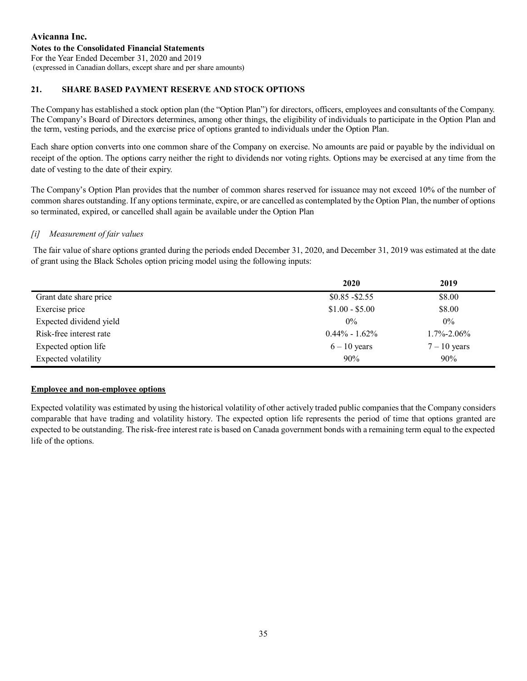## **21. SHARE BASED PAYMENT RESERVE AND STOCK OPTIONS**

The Company has established a stock option plan (the "Option Plan") for directors, officers, employees and consultants of the Company. The Company's Board of Directors determines, among other things, the eligibility of individuals to participate in the Option Plan and the term, vesting periods, and the exercise price of options granted to individuals under the Option Plan.

Each share option converts into one common share of the Company on exercise. No amounts are paid or payable by the individual on receipt of the option. The options carry neither the right to dividends nor voting rights. Options may be exercised at any time from the date of vesting to the date of their expiry.

The Company's Option Plan provides that the number of common shares reserved for issuance may not exceed 10% of the number of common shares outstanding. If any options terminate, expire, or are cancelled as contemplated by the Option Plan, the number of options so terminated, expired, or cancelled shall again be available under the Option Plan

## *[i] Measurement of fair values*

 The fair value of share options granted during the periods ended December 31, 2020, and December 31, 2019 was estimated at the date of grant using the Black Scholes option pricing model using the following inputs:

|                         | 2020              | 2019             |
|-------------------------|-------------------|------------------|
| Grant date share price  | $$0.85 - $2.55$   | \$8.00           |
| Exercise price          | $$1.00 - $5.00$   | \$8.00           |
| Expected dividend yield | $0\%$             | $0\%$            |
| Risk-free interest rate | $0.44\% - 1.62\%$ | $1.7\% - 2.06\%$ |
| Expected option life    | $6 - 10$ years    | $7 - 10$ years   |
| Expected volatility     | 90%               | 90%              |

## **Employee and non-employee options**

Expected volatility was estimated by using the historical volatility of other actively traded public companies that the Company considers comparable that have trading and volatility history. The expected option life represents the period of time that options granted are expected to be outstanding. The risk-free interest rate is based on Canada government bonds with a remaining term equal to the expected life of the options.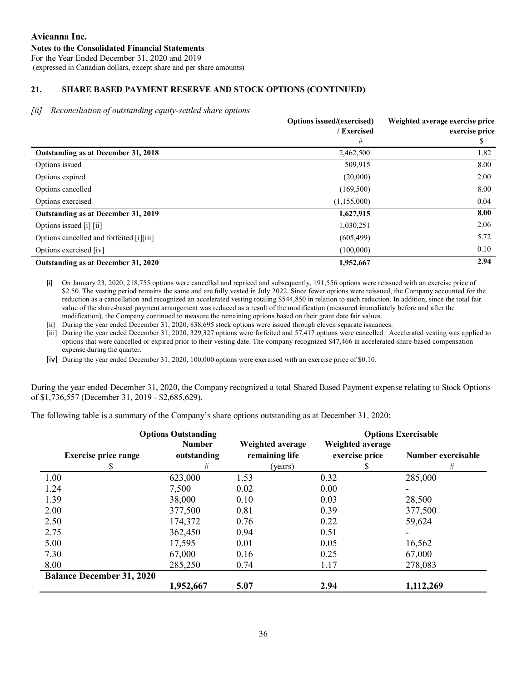## **21. SHARE BASED PAYMENT RESERVE AND STOCK OPTIONS (CONTINUED)**

#### *[ii] Reconciliation of outstanding equity-settled share options*

|                                          | Options issued/(exercised) | Weighted average exercise price |
|------------------------------------------|----------------------------|---------------------------------|
|                                          | / Exercised                | exercise price                  |
|                                          | #                          | S                               |
| Outstanding as at December 31, 2018      | 2,462,500                  | 1.82                            |
| Options issued                           | 509,915                    | 8.00                            |
| Options expired                          | (20,000)                   | 2.00                            |
| Options cancelled                        | (169,500)                  | 8.00                            |
| Options exercised                        | (1,155,000)                | 0.04                            |
| Outstanding as at December 31, 2019      | 1,627,915                  | 8.00                            |
| Options issued [i] [ii]                  | 1,030,251                  | 2.06                            |
| Options cancelled and forfeited [i][iii] | (605, 499)                 | 5.72                            |
| Options exercised [iv]                   | (100,000)                  | 0.10                            |
| Outstanding as at December 31, 2020      | 1,952,667                  | 2.94                            |

[i] On January 23, 2020, 218,755 options were cancelled and repriced and subsequently, 191,556 options were reissued with an exercise price of \$2.50. The vesting period remains the same and are fully vested in July 2022. Since fewer options were reissued, the Company accounted for the reduction as a cancellation and recognized an accelerated vesting totaling \$544,850 in relation to such reduction. In addition, since the total fair value of the share-based payment arrangement was reduced as a result of the modification (measured immediately before and after the modification), the Company continued to measure the remaining options based on their grant date fair values.

[ii] During the year ended December 31, 2020, 838,695 stock options were issued through eleven separate issuances.

[iii] During the year ended December 31, 2020, 329,327 options were forfeited and 57,417 options were cancelled. Accelerated vesting was applied to options that were cancelled or expired prior to their vesting date. The company recognized \$47,466 in accelerated share-based compensation expense during the quarter.

[iv] During the year ended December 31, 2020, 100,000 options were exercised with an exercise price of \$0.10.

During the year ended December 31, 2020, the Company recognized a total Shared Based Payment expense relating to Stock Options of \$1,736,557 (December 31, 2019 - \$2,685,629).

The following table is a summary of the Company's share options outstanding as at December 31, 2020:

| <b>Options Outstanding</b><br><b>Number</b><br>Weighted average |             | <b>Options Exercisable</b><br>Weighted average |                |                          |
|-----------------------------------------------------------------|-------------|------------------------------------------------|----------------|--------------------------|
| <b>Exercise price range</b>                                     | outstanding | remaining life                                 | exercise price | Number exercisable       |
|                                                                 | #           | (years)                                        |                | #                        |
| 1.00                                                            | 623,000     | 1.53                                           | 0.32           | 285,000                  |
| 1.24                                                            | 7,500       | 0.02                                           | 0.00           | $\overline{\phantom{0}}$ |
| 1.39                                                            | 38,000      | 0.10                                           | 0.03           | 28,500                   |
| 2.00                                                            | 377,500     | 0.81                                           | 0.39           | 377,500                  |
| 2.50                                                            | 174,372     | 0.76                                           | 0.22           | 59,624                   |
| 2.75                                                            | 362,450     | 0.94                                           | 0.51           |                          |
| 5.00                                                            | 17,595      | 0.01                                           | 0.05           | 16,562                   |
| 7.30                                                            | 67,000      | 0.16                                           | 0.25           | 67,000                   |
| 8.00                                                            | 285,250     | 0.74                                           | 1.17           | 278,083                  |
| <b>Balance December 31, 2020</b>                                |             |                                                |                |                          |
|                                                                 | 1,952,667   | 5.07                                           | 2.94           | 1,112,269                |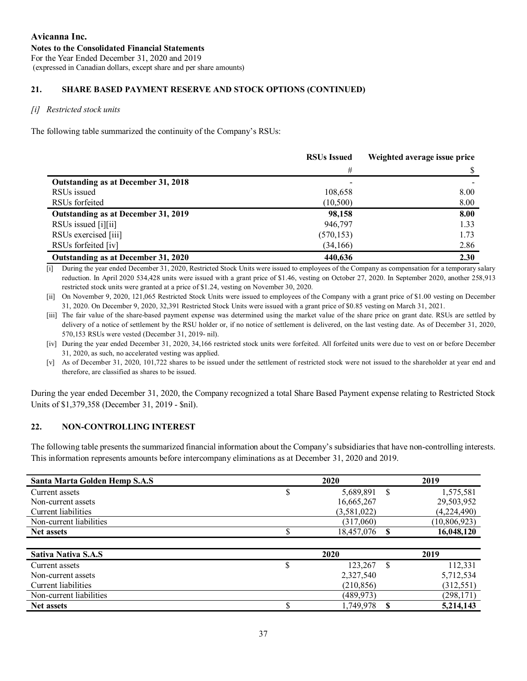## **21. SHARE BASED PAYMENT RESERVE AND STOCK OPTIONS (CONTINUED)**

### *[i] Restricted stock units*

The following table summarized the continuity of the Company's RSUs:

|                                     | <b>RSUs Issued</b> | Weighted average issue price |
|-------------------------------------|--------------------|------------------------------|
|                                     | #                  |                              |
| Outstanding as at December 31, 2018 |                    |                              |
| RSU <sub>s</sub> issued             | 108,658            | 8.00                         |
| RSU <sub>s</sub> forfeited          | (10, 500)          | 8.00                         |
| Outstanding as at December 31, 2019 | 98,158             | 8.00                         |
| RSUs issued [i][ii]                 | 946,797            | 1.33                         |
| RSUs exercised [iii]                | (570, 153)         | 1.73                         |
| RSUs forfeited [iv]                 | (34, 166)          | 2.86                         |
| Outstanding as at December 31, 2020 | 440,636            | 2.30                         |

[i] During the year ended December 31, 2020, Restricted Stock Units were issued to employees of the Company as compensation for a temporary salary reduction. In April 2020 534,428 units were issued with a grant price of \$1.46, vesting on October 27, 2020. In September 2020, another 258,913 restricted stock units were granted at a price of \$1.24, vesting on November 30, 2020.

[ii] On November 9, 2020, 121,065 Restricted Stock Units were issued to employees of the Company with a grant price of \$1.00 vesting on December 31, 2020. On December 9, 2020, 32,391 Restricted Stock Units were issued with a grant price of \$0.85 vesting on March 31, 2021.

[iii] The fair value of the share-based payment expense was determined using the market value of the share price on grant date. RSUs are settled by delivery of a notice of settlement by the RSU holder or, if no notice of settlement is delivered, on the last vesting date. As of December 31, 2020, 570,153 RSUs were vested (December 31, 2019- nil).

- [iv] During the year ended December 31, 2020, 34,166 restricted stock units were forfeited. All forfeited units were due to vest on or before December 31, 2020, as such, no accelerated vesting was applied.
- [v] As of December 31, 2020, 101,722 shares to be issued under the settlement of restricted stock were not issued to the shareholder at year end and therefore, are classified as shares to be issued.

During the year ended December 31, 2020, the Company recognized a total Share Based Payment expense relating to Restricted Stock Units of \$1,379,358 (December 31, 2019 - \$nil).

## **22. NON-CONTROLLING INTEREST**

The following table presents the summarized financial information about the Company's subsidiaries that have non-controlling interests. This information represents amounts before intercompany eliminations as at December 31, 2020 and 2019.

| Santa Marta Golden Hemp S.A.S | 2020 |             |     | 2019         |
|-------------------------------|------|-------------|-----|--------------|
| Current assets                | D    | 5,689,891   | S   | 1,575,581    |
| Non-current assets            |      | 16,665,267  |     | 29,503,952   |
| Current liabilities           |      | (3,581,022) |     | (4,224,490)  |
| Non-current liabilities       |      | (317.060)   |     | (10,806,923) |
| <b>Net assets</b>             |      | 18,457,076  | S   | 16,048,120   |
|                               |      |             |     |              |
| Sativa Nativa S.A.S           |      | 2020        |     | 2019         |
| Current assets                |      | 123,267     | \$. | 112,331      |
| Non-current assets            |      | 2,327,540   |     | 5,712,534    |
| Current liabilities           |      | (210, 856)  |     | (312, 551)   |
| Non-current liabilities       |      | (489, 973)  |     | (298, 171)   |
| <b>Net assets</b>             |      | 1,749,978   | S   | 5,214,143    |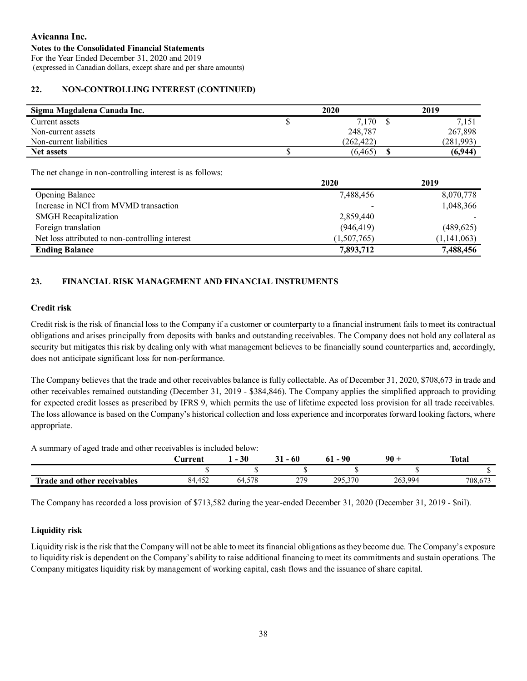## **22. NON-CONTROLLING INTEREST (CONTINUED)**

| Sigma Magdalena Canada Inc. | 2020       | 2019       |
|-----------------------------|------------|------------|
| Current assets              | 7.170      | 7.151      |
| Non-current assets          | 248,787    | 267,898    |
| Non-current liabilities     | (262, 422) | (281, 993) |
| <b>Net assets</b>           | (6, 465)   | (6,944)    |

The net change in non-controlling interest is as follows:

|                                                 | 2020        | 2019        |
|-------------------------------------------------|-------------|-------------|
| <b>Opening Balance</b>                          | 7,488,456   | 8,070,778   |
| Increase in NCI from MVMD transaction           |             | 1,048,366   |
| <b>SMGH</b> Recapitalization                    | 2,859,440   |             |
| Foreign translation                             | (946, 419)  | (489, 625)  |
| Net loss attributed to non-controlling interest | (1,507,765) | (1,141,063) |
| <b>Ending Balance</b>                           | 7,893,712   | 7,488,456   |

# **23. FINANCIAL RISK MANAGEMENT AND FINANCIAL INSTRUMENTS**

#### **Credit risk**

Credit risk is the risk of financial loss to the Company if a customer or counterparty to a financial instrument fails to meet its contractual obligations and arises principally from deposits with banks and outstanding receivables. The Company does not hold any collateral as security but mitigates this risk by dealing only with what management believes to be financially sound counterparties and, accordingly, does not anticipate significant loss for non-performance.

The Company believes that the trade and other receivables balance is fully collectable. As of December 31, 2020, \$708,673 in trade and other receivables remained outstanding (December 31, 2019 - \$384,846). The Company applies the simplified approach to providing for expected credit losses as prescribed by IFRS 9, which permits the use of lifetime expected loss provision for all trade receivables. The loss allowance is based on the Company's historical collection and loss experience and incorporates forward looking factors, where appropriate.

A summary of aged trade and other receivables is included below:

| ັ                           | Aurrent | 30           | - 60            | -90<br>O I | O٨<br>7V     | <b>Total</b>          |
|-----------------------------|---------|--------------|-----------------|------------|--------------|-----------------------|
|                             |         |              |                 |            |              |                       |
| Trade and other receivables | 84,452  | 57C<br>64.D. | 270<br><u>.</u> | 295,370    | 263,<br>-994 | 708,675<br>$\sqrt{2}$ |

The Company has recorded a loss provision of \$713,582 during the year-ended December 31, 2020 (December 31, 2019 - \$nil).

## **Liquidity risk**

Liquidity risk is the risk that the Company will not be able to meet its financial obligations as they become due. The Company's exposure to liquidity risk is dependent on the Company's ability to raise additional financing to meet its commitments and sustain operations. The Company mitigates liquidity risk by management of working capital, cash flows and the issuance of share capital.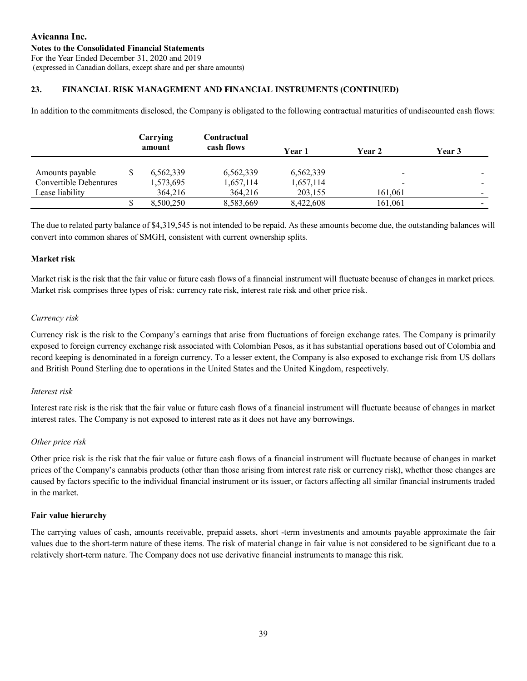### **23. FINANCIAL RISK MANAGEMENT AND FINANCIAL INSTRUMENTS (CONTINUED)**

In addition to the commitments disclosed, the Company is obligated to the following contractual maturities of undiscounted cash flows:

|                        |   | Carrying<br>amount | Contractual<br>cash flows | Year 1    | Year 2  | Year 3 |
|------------------------|---|--------------------|---------------------------|-----------|---------|--------|
| Amounts payable        |   | 6,562,339          | 6,562,339                 | 6,562,339 |         |        |
| Convertible Debentures |   | 1,573,695          | 1,657,114                 | 1,657,114 |         |        |
| Lease liability        |   | 364,216            | 364,216                   | 203,155   | 161.061 | $\sim$ |
|                        | S | 8,500,250          | 8,583,669                 | 8,422,608 | 161,061 |        |

The due to related party balance of \$4,319,545 is not intended to be repaid. As these amounts become due, the outstanding balances will convert into common shares of SMGH, consistent with current ownership splits.

#### **Market risk**

Market risk is the risk that the fair value or future cash flows of a financial instrument will fluctuate because of changes in market prices. Market risk comprises three types of risk: currency rate risk, interest rate risk and other price risk.

#### *Currency risk*

Currency risk is the risk to the Company's earnings that arise from fluctuations of foreign exchange rates. The Company is primarily exposed to foreign currency exchange risk associated with Colombian Pesos, as it has substantial operations based out of Colombia and record keeping is denominated in a foreign currency. To a lesser extent, the Company is also exposed to exchange risk from US dollars and British Pound Sterling due to operations in the United States and the United Kingdom, respectively.

#### *Interest risk*

Interest rate risk is the risk that the fair value or future cash flows of a financial instrument will fluctuate because of changes in market interest rates. The Company is not exposed to interest rate as it does not have any borrowings.

#### *Other price risk*

Other price risk is the risk that the fair value or future cash flows of a financial instrument will fluctuate because of changes in market prices of the Company's cannabis products (other than those arising from interest rate risk or currency risk), whether those changes are caused by factors specific to the individual financial instrument or its issuer, or factors affecting all similar financial instruments traded in the market.

#### **Fair value hierarchy**

The carrying values of cash, amounts receivable, prepaid assets, short -term investments and amounts payable approximate the fair values due to the short-term nature of these items. The risk of material change in fair value is not considered to be significant due to a relatively short-term nature. The Company does not use derivative financial instruments to manage this risk.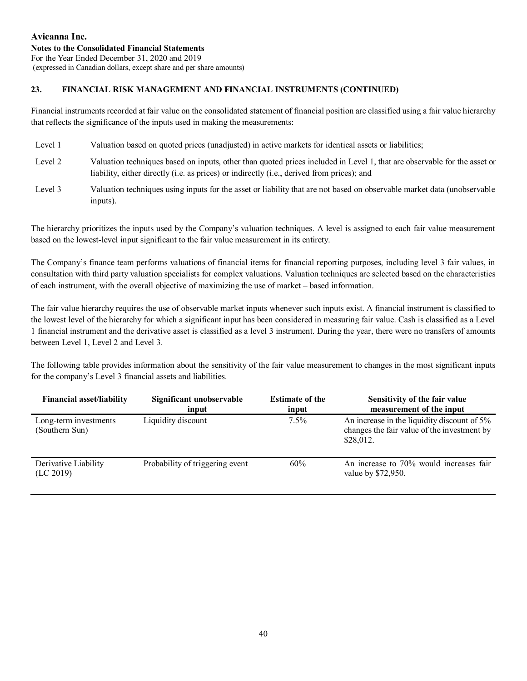## **23. FINANCIAL RISK MANAGEMENT AND FINANCIAL INSTRUMENTS (CONTINUED)**

Financial instruments recorded at fair value on the consolidated statement of financial position are classified using a fair value hierarchy that reflects the significance of the inputs used in making the measurements:

- Level 1 Valuation based on quoted prices (unadjusted) in active markets for identical assets or liabilities;
- Level 2 Valuation techniques based on inputs, other than quoted prices included in Level 1, that are observable for the asset or liability, either directly (i.e. as prices) or indirectly (i.e., derived from prices); and
- Level 3 Valuation techniques using inputs for the asset or liability that are not based on observable market data (unobservable inputs).

The hierarchy prioritizes the inputs used by the Company's valuation techniques. A level is assigned to each fair value measurement based on the lowest-level input significant to the fair value measurement in its entirety.

The Company's finance team performs valuations of financial items for financial reporting purposes, including level 3 fair values, in consultation with third party valuation specialists for complex valuations. Valuation techniques are selected based on the characteristics of each instrument, with the overall objective of maximizing the use of market – based information.

The fair value hierarchy requires the use of observable market inputs whenever such inputs exist. A financial instrument is classified to the lowest level of the hierarchy for which a significant input has been considered in measuring fair value. Cash is classified as a Level 1 financial instrument and the derivative asset is classified as a level 3 instrument. During the year, there were no transfers of amounts between Level 1, Level 2 and Level 3.

The following table provides information about the sensitivity of the fair value measurement to changes in the most significant inputs for the company's Level 3 financial assets and liabilities.

| <b>Financial asset/liability</b>        | Significant unobservable<br>input | <b>Estimate of the</b><br>input | Sensitivity of the fair value<br>measurement of the input                                               |
|-----------------------------------------|-----------------------------------|---------------------------------|---------------------------------------------------------------------------------------------------------|
| Long-term investments<br>(Southern Sun) | Liquidity discount                | $7.5\%$                         | An increase in the liquidity discount of 5%<br>changes the fair value of the investment by<br>\$28,012. |
| Derivative Liability<br>(LC 2019)       | Probability of triggering event   | 60%                             | An increase to 70% would increases fair<br>value by \$72,950.                                           |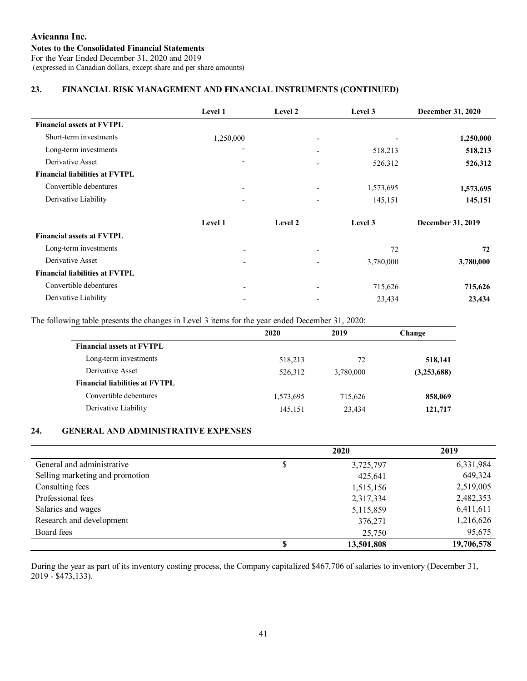# **23. FINANCIAL RISK MANAGEMENT AND FINANCIAL INSTRUMENTS (CONTINUED)**

|                                       | Level 1                  | Level 2                  | Level 3   | <b>December 31, 2020</b> |
|---------------------------------------|--------------------------|--------------------------|-----------|--------------------------|
| <b>Financial assets at FVTPL</b>      |                          |                          |           |                          |
| Short-term investments                | 1,250,000                | $\overline{a}$           |           | 1,250,000                |
| Long-term investments                 |                          | $\overline{\phantom{a}}$ | 518,213   | 518,213                  |
| Derivative Asset                      |                          | $\overline{a}$           | 526,312   | 526,312                  |
| <b>Financial liabilities at FVTPL</b> |                          |                          |           |                          |
| Convertible debentures                | $\overline{\phantom{a}}$ | $\overline{\phantom{a}}$ | 1,573,695 | 1,573,695                |
| Derivative Liability                  |                          |                          | 145,151   | 145,151                  |
|                                       | Level 1                  | Level 2                  | Level 3   | December 31, 2019        |
| <b>Financial assets at FVTPL</b>      |                          |                          |           |                          |
| Long-term investments                 | $\overline{\phantom{a}}$ | $\overline{a}$           | 72        | 72                       |
| Derivative Asset                      |                          |                          | 3,780,000 | 3,780,000                |
| <b>Financial liabilities at FVTPL</b> |                          |                          |           |                          |
| Convertible debentures                |                          |                          | 715,626   | 715,626                  |
| Derivative Liability                  |                          |                          | 23,434    | 23,434                   |

The following table presents the changes in Level 3 items for the year ended December 31, 2020:

| <b>2020</b> | 2019      | Change      |
|-------------|-----------|-------------|
|             |           |             |
| 518,213     | 72        | 518,141     |
| 526,312     | 3,780,000 | (3,253,688) |
|             |           |             |
| 1,573,695   | 715,626   | 858,069     |
| 145,151     | 23,434    | 121,717     |
|             |           |             |

## **24. GENERAL AND ADMINISTRATIVE EXPENSES**

|                                 |   | 2020       | 2019       |
|---------------------------------|---|------------|------------|
| General and administrative      | Φ | 3,725,797  | 6,331,984  |
| Selling marketing and promotion |   | 425,641    | 649,324    |
| Consulting fees                 |   | 1,515,156  | 2,519,005  |
| Professional fees               |   | 2,317,334  | 2,482,353  |
| Salaries and wages              |   | 5,115,859  | 6,411,611  |
| Research and development        |   | 376,271    | 1,216,626  |
| Board fees                      |   | 25,750     | 95,675     |
|                                 |   | 13,501,808 | 19,706,578 |

During the year as part of its inventory costing process, the Company capitalized \$467,706 of salaries to inventory (December 31, 2019 - \$473,133).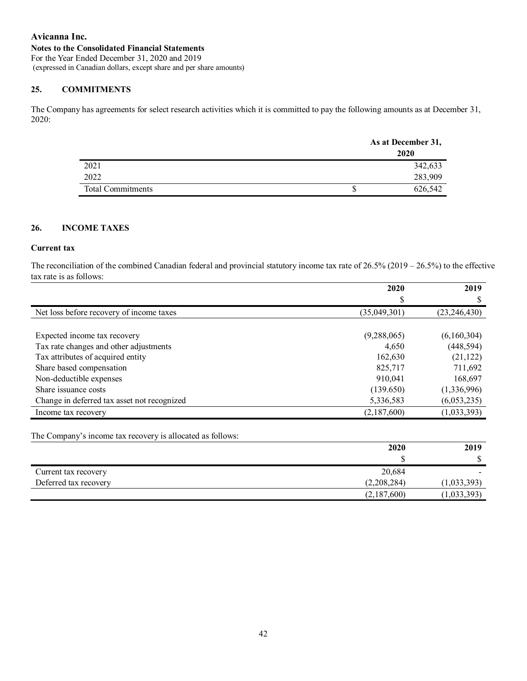## **Avicanna Inc. Notes to the Consolidated Financial Statements** For the Year Ended December 31, 2020 and 2019 (expressed in Canadian dollars, except share and per share amounts)

## **25. COMMITMENTS**

The Company has agreements for select research activities which it is committed to pay the following amounts as at December 31, 2020:

|                          |   | As at December 31,<br>2020 |
|--------------------------|---|----------------------------|
| 2021                     |   | 342,633                    |
| 2022                     |   | 283,909                    |
| <b>Total Commitments</b> | D | 626,542                    |

# **26. INCOME TAXES**

### **Current tax**

The reconciliation of the combined Canadian federal and provincial statutory income tax rate of 26.5% (2019 – 26.5%) to the effective tax rate is as follows:

|                                             | 2020         | 2019           |
|---------------------------------------------|--------------|----------------|
|                                             |              |                |
| Net loss before recovery of income taxes    | (35,049,301) | (23, 246, 430) |
|                                             |              |                |
| Expected income tax recovery                | (9,288,065)  | (6,160,304)    |
| Tax rate changes and other adjustments      | 4,650        | (448, 594)     |
| Tax attributes of acquired entity           | 162,630      | (21, 122)      |
| Share based compensation                    | 825,717      | 711,692        |
| Non-deductible expenses                     | 910,041      | 168,697        |
| Share issuance costs                        | (139.650)    | (1,336,996)    |
| Change in deferred tax asset not recognized | 5,336,583    | (6,053,235)    |
| Income tax recovery                         | (2,187,600)  | (1,033,393)    |

The Company's income tax recovery is allocated as follows:

|                       | 2020        | 2019        |
|-----------------------|-------------|-------------|
|                       |             | w           |
| Current tax recovery  | 20,684      |             |
| Deferred tax recovery | (2,208,284) | (1,033,393) |
|                       | (2,187,600) | 1,033,393)  |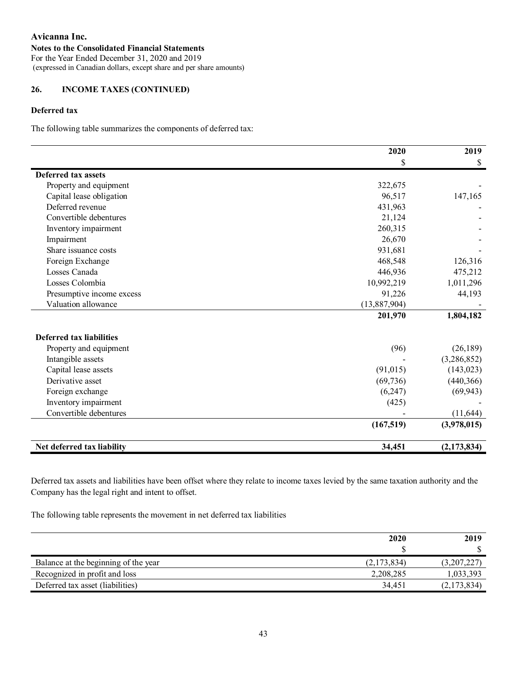## **Avicanna Inc. Notes to the Consolidated Financial Statements** For the Year Ended December 31, 2020 and 2019 (expressed in Canadian dollars, except share and per share amounts)

# **26. INCOME TAXES (CONTINUED)**

## **Deferred tax**

The following table summarizes the components of deferred tax:

|                                 | 2020         | 2019          |
|---------------------------------|--------------|---------------|
|                                 | \$           | \$            |
| Deferred tax assets             |              |               |
| Property and equipment          | 322,675      |               |
| Capital lease obligation        | 96,517       | 147,165       |
| Deferred revenue                | 431,963      |               |
| Convertible debentures          | 21,124       |               |
| Inventory impairment            | 260,315      |               |
| Impairment                      | 26,670       |               |
| Share issuance costs            | 931,681      |               |
| Foreign Exchange                | 468,548      | 126,316       |
| Losses Canada                   | 446,936      | 475,212       |
| Losses Colombia                 | 10,992,219   | 1,011,296     |
| Presumptive income excess       | 91,226       | 44,193        |
| Valuation allowance             | (13,887,904) |               |
|                                 | 201,970      | 1,804,182     |
| <b>Deferred tax liabilities</b> |              |               |
| Property and equipment          | (96)         | (26, 189)     |
| Intangible assets               |              | (3,286,852)   |
| Capital lease assets            | (91, 015)    | (143, 023)    |
| Derivative asset                | (69, 736)    | (440,366)     |
| Foreign exchange                | (6,247)      | (69, 943)     |
| Inventory impairment            | (425)        |               |
| Convertible debentures          |              | (11, 644)     |
|                                 | (167, 519)   | (3,978,015)   |
| Net deferred tax liability      | 34,451       | (2, 173, 834) |

Deferred tax assets and liabilities have been offset where they relate to income taxes levied by the same taxation authority and the Company has the legal right and intent to offset.

The following table represents the movement in net deferred tax liabilities

|                                      | 2020        | 2019        |
|--------------------------------------|-------------|-------------|
|                                      |             |             |
| Balance at the beginning of the year | (2,173,834) | (3,207,227) |
| Recognized in profit and loss        | 2,208,285   | 1,033,393   |
| Deferred tax asset (liabilities)     | 34,451      | (2,173,834) |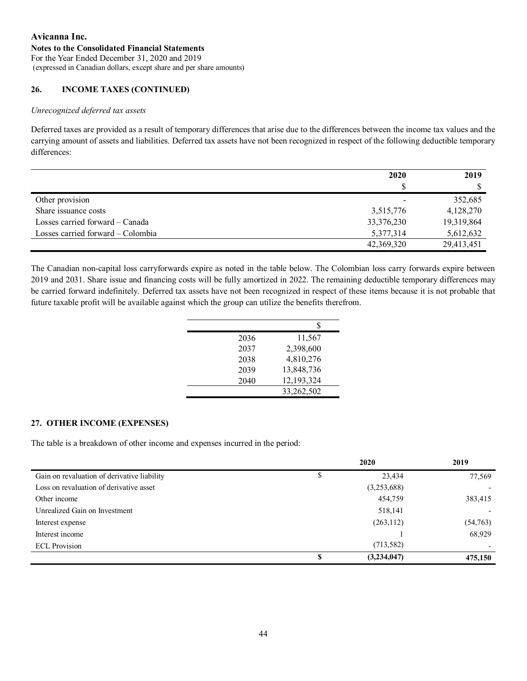## **26. INCOME TAXES (CONTINUED)**

#### *Unrecognized deferred tax assets*

Deferred taxes are provided as a result of temporary differences that arise due to the differences between the income tax values and the carrying amount of assets and liabilities. Deferred tax assets have not been recognized in respect of the following deductible temporary differences:

|                                   | 2020       | 2019       |
|-----------------------------------|------------|------------|
|                                   |            |            |
| Other provision                   |            | 352,685    |
| Share issuance costs              | 3,515,776  | 4,128,270  |
| Losses carried forward – Canada   | 33,376,230 | 19,319,864 |
| Losses carried forward – Colombia | 5,377,314  | 5,612,632  |
|                                   | 42,369,320 | 29,413,451 |

The Canadian non-capital loss carryforwards expire as noted in the table below. The Colombian loss carry forwards expire between 2019 and 2031. Share issue and financing costs will be fully amortized in 2022. The remaining deductible temporary differences may be carried forward indefinitely. Deferred tax assets have not been recognized in respect of these items because it is not probable that future taxable profit will be available against which the group can utilize the benefits therefrom.

| 2036 | 11,567     |  |
|------|------------|--|
| 2037 | 2,398,600  |  |
| 2038 | 4,810,276  |  |
| 2039 | 13,848,736 |  |
| 2040 | 12,193,324 |  |
|      | 33,262,502 |  |

## **27. OTHER INCOME (EXPENSES)**

The table is a breakdown of other income and expenses incurred in the period:

|                                             | 2020 |             | 2019      |
|---------------------------------------------|------|-------------|-----------|
| Gain on revaluation of derivative liability |      | 23,434      | 77,569    |
| Loss on revaluation of derivative asset     |      | (3,253,688) |           |
| Other income                                |      | 454,759     | 383,415   |
| Unrealized Gain on Investment               |      | 518,141     |           |
| Interest expense                            |      | (263,112)   | (54, 763) |
| Interest income                             |      |             | 68,929    |
| <b>ECL Provision</b>                        |      | (713, 582)  |           |
|                                             |      | (3,234,047) | 475,150   |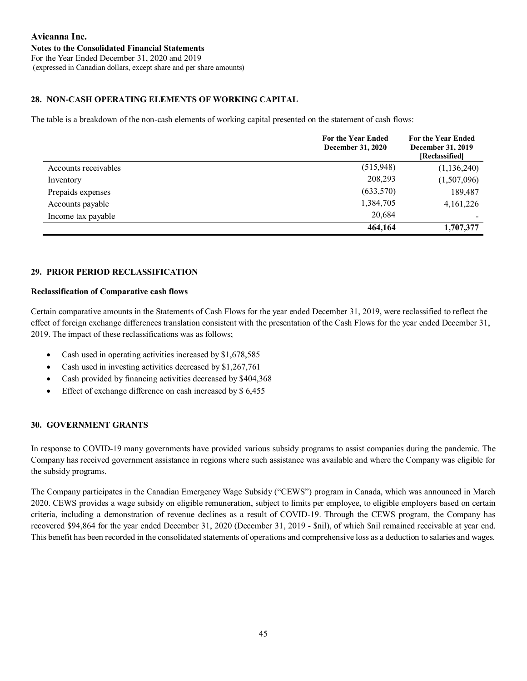## **28. NON-CASH OPERATING ELEMENTS OF WORKING CAPITAL**

The table is a breakdown of the non-cash elements of working capital presented on the statement of cash flows:

|                      | For the Year Ended<br>December 31, 2020 | <b>For the Year Ended</b><br>December 31, 2019<br>[Reclassified] |
|----------------------|-----------------------------------------|------------------------------------------------------------------|
| Accounts receivables | (515,948)                               | (1,136,240)                                                      |
| Inventory            | 208,293                                 | (1,507,096)                                                      |
| Prepaids expenses    | (633, 570)                              | 189,487                                                          |
| Accounts payable     | 1,384,705                               | 4,161,226                                                        |
| Income tax payable   | 20,684                                  |                                                                  |
|                      | 464,164                                 | 1,707,377                                                        |

## **29. PRIOR PERIOD RECLASSIFICATION**

#### **Reclassification of Comparative cash flows**

Certain comparative amounts in the Statements of Cash Flows for the year ended December 31, 2019, were reclassified to reflect the effect of foreign exchange differences translation consistent with the presentation of the Cash Flows for the year ended December 31, 2019. The impact of these reclassifications was as follows;

- Cash used in operating activities increased by \$1,678,585
- Cash used in investing activities decreased by \$1,267,761
- Cash provided by financing activities decreased by \$404,368
- Effect of exchange difference on cash increased by \$ 6,455

## **30. GOVERNMENT GRANTS**

In response to COVID-19 many governments have provided various subsidy programs to assist companies during the pandemic. The Company has received government assistance in regions where such assistance was available and where the Company was eligible for the subsidy programs.

The Company participates in the Canadian Emergency Wage Subsidy ("CEWS") program in Canada, which was announced in March 2020. CEWS provides a wage subsidy on eligible remuneration, subject to limits per employee, to eligible employers based on certain criteria, including a demonstration of revenue declines as a result of COVID-19. Through the CEWS program, the Company has recovered \$94,864 for the year ended December 31, 2020 (December 31, 2019 - \$nil), of which \$nil remained receivable at year end. This benefit has been recorded in the consolidated statements of operations and comprehensive loss as a deduction to salaries and wages.